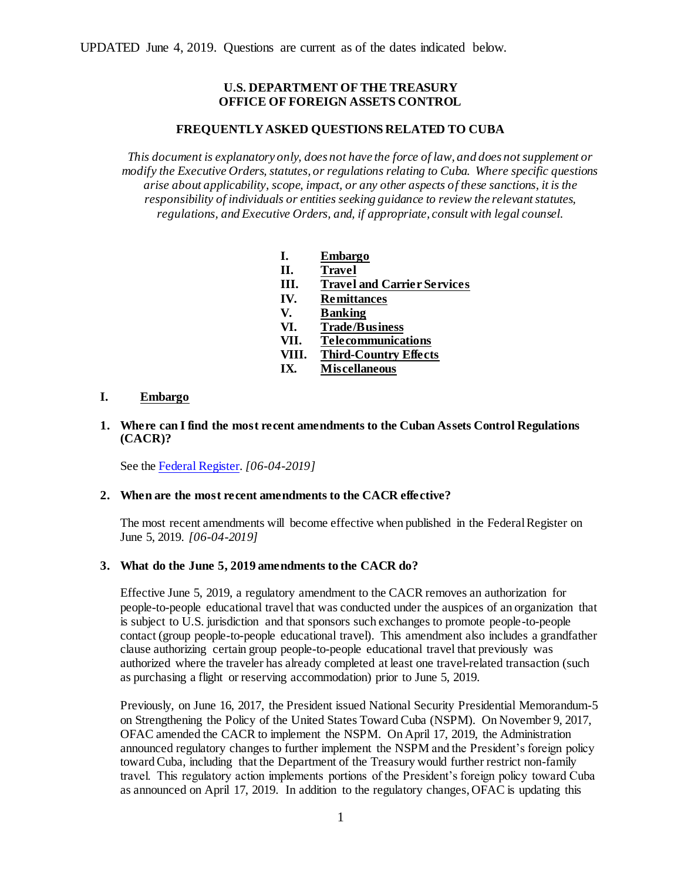# **U.S. DEPARTMENT OF THE TREASURY OFFICE OF FOREIGN ASSETS CONTROL**

## **FREQUENTLY ASKED QUESTIONS RELATED TO CUBA**

*This document is explanatory only, does not have the force of law, and does not supplement or modify the Executive Orders, statutes, or regulations relating to Cuba. Where specific questions arise about applicability, scope, impact, or any other aspects of these sanctions, it is the responsibility of individuals or entities seeking guidance to review the relevant statutes, regulations, and Executive Orders, and, if appropriate, consult with legal counsel.*

- **I. [Embargo](#page-0-0)**
- **II. [Travel](#page-1-0)**
- **III. [Travel and Carrier Services](#page-11-0)**
- **IV. [Remittances](#page-13-0)**
- **V. [Banking](#page-14-0)**
- 
- **VI. [Trade/Business](#page-21-0) VII. [Telecommunications](#page-29-0)**
- **VIII. [Third-Country Effects](#page-31-0)**
- **IX. [Miscellaneous](#page-32-0)**

# <span id="page-0-0"></span>**I. Embargo**

**1. Where can I find the most recent amendments to the Cuban Assets Control Regulations (CACR)?**

See the [Federal Register.](https://www.treasury.gov/resource-center/sanctions/Programs/Documents/cacr_20190604.pdf) *[06-04-2019]*

## **2. When are the most recent amendments to the CACR effective?**

The most recent amendments will become effective when published in the Federal Register on June 5, 2019. *[06-04-2019]*

## **3. What do the June 5, 2019 amendments to the CACR do?**

Effective June 5, 2019, a regulatory amendment to the CACR removes an authorization for people-to-people educational travel that was conducted under the auspices of an organization that is subject to U.S. jurisdiction and that sponsors such exchanges to promote people-to-people contact (group people-to-people educational travel). This amendment also includes a grandfather clause authorizing certain group people-to-people educational travel that previously was authorized where the traveler has already completed at least one travel-related transaction (such as purchasing a flight or reserving accommodation) prior to June 5, 2019.

Previously, on June 16, 2017, the President issued National Security Presidential Memorandum-5 on Strengthening the Policy of the United States Toward Cuba (NSPM). On November 9, 2017, OFAC amended the CACR to implement the NSPM. On April 17, 2019, the Administration announced regulatory changes to further implement the NSPM and the President's foreign policy toward Cuba, including that the Department of the Treasury would further restrict non-family travel. This regulatory action implements portions of the President's foreign policy toward Cuba as announced on April 17, 2019. In addition to the regulatory changes, OFAC is updating this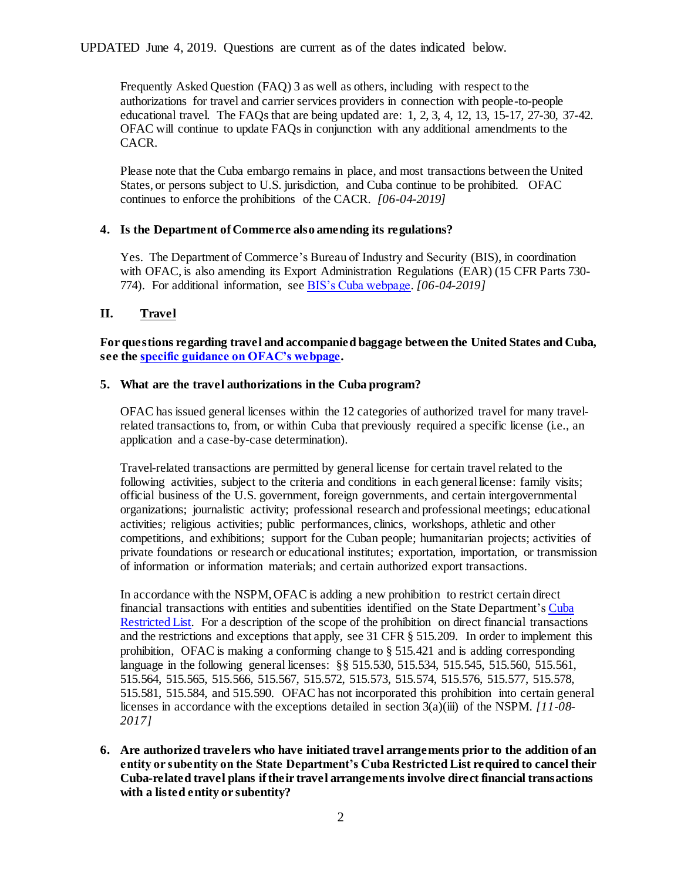Frequently Asked Question (FAQ) 3 as well as others, including with respect to the authorizations for travel and carrier services providers in connection with people-to-people educational travel. The FAQs that are being updated are: 1, 2, 3, 4, 12, 13, 15-17, 27-30, 37-42. OFAC will continue to update FAQs in conjunction with any additional amendments to the CACR.

Please note that the Cuba embargo remains in place, and most transactions between the United States, or persons subject to U.S. jurisdiction, and Cuba continue to be prohibited. OFAC continues to enforce the prohibitions of the CACR. *[06-04-2019]*

# **4. Is the Department of Commerce also amending its regulations?**

Yes. The Department of Commerce's Bureau of Industry and Security (BIS), in coordination with OFAC, is also amending its Export Administration Regulations (EAR) (15 CFR Parts 730-774). For additional information, se[e BIS's Cuba webpage.](http://www.bis.doc.gov/index.php/policy-guidance/country-guidance/sanctioned-destinations/cuba) *[06-04-2019]*

# <span id="page-1-0"></span>**II. Travel**

**For questions regarding travel and accompanied baggage between the United States and Cuba, see th[e specific guidance on OFAC's webpage](http://www.treasury.gov/resource-center/sanctions/Programs/Documents/guidance_cuba_travel.pdf).**

## **5. What are the travel authorizations in the Cuba program?**

OFAC has issued general licenses within the 12 categories of authorized travel for many travelrelated transactions to, from, or within Cuba that previously required a specific license (i.e., an application and a case-by-case determination).

Travel-related transactions are permitted by general license for certain travel related to the following activities, subject to the criteria and conditions in each general license: family visits; official business of the U.S. government, foreign governments, and certain intergovernmental organizations; journalistic activity; professional research and professional meetings; educational activities; religious activities; public performances, clinics, workshops, athletic and other competitions, and exhibitions; support for the Cuban people; humanitarian projects; activities of private foundations or research or educational institutes; exportation, importation, or transmission of information or information materials; and certain authorized export transactions.

In accordance with the NSPM, OFAC is adding a new prohibition to restrict certain direct financial transactions with entities and subentities identified on the State Department'[s Cuba](http://www.state.gov/e/eb/tfs/spi/cuba/cubarestrictedlist/index.htm)  [Restricted List.](http://www.state.gov/e/eb/tfs/spi/cuba/cubarestrictedlist/index.htm) For a description of the scope of the prohibition on direct financial transactions and the restrictions and exceptions that apply, see 31 CFR § 515.209. In order to implement this prohibition, OFAC is making a conforming change to  $\S 515.421$  and is adding corresponding language in the following general licenses: §§ 515.530, 515.534, 515.545, 515.560, 515.561, 515.564, 515.565, 515.566, 515.567, 515.572, 515.573, 515.574, 515.576, 515.577, 515.578, 515.581, 515.584, and 515.590. OFAC has not incorporated this prohibition into certain general licenses in accordance with the exceptions detailed in section 3(a)(iii) of the NSPM. *[11-08- 2017]*

**6. Are authorized travelers who have initiated travel arrangements prior to the addition of an entity or subentity on the State Department's Cuba Restricted List required to cancel their Cuba-related travel plans if their travel arrangements involve direct financial transactions with a listed entity or subentity?**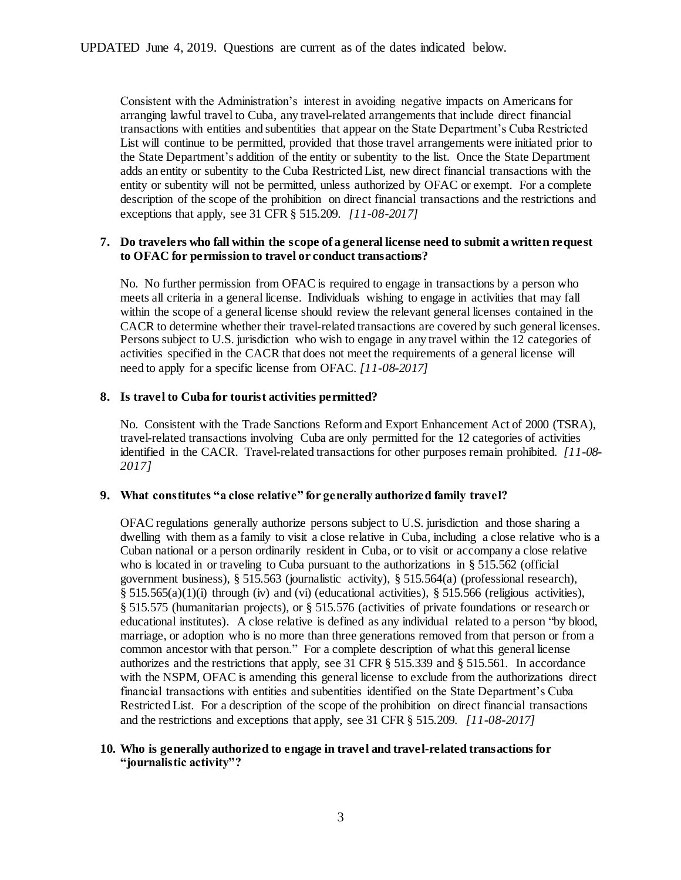Consistent with the Administration's interest in avoiding negative impacts on Americans for arranging lawful travel to Cuba, any travel-related arrangements that include direct financial transactions with entities and subentities that appear on the State Department's Cuba Restricted List will continue to be permitted, provided that those travel arrangements were initiated prior to the State Department's addition of the entity or subentity to the list. Once the State Department adds an entity or subentity to the Cuba Restricted List, new direct financial transactions with the entity or subentity will not be permitted, unless authorized by OFAC or exempt. For a complete description of the scope of the prohibition on direct financial transactions and the restrictions and exceptions that apply, see 31 CFR § 515.209. *[11-08-2017]*

# **7. Do travelers who fall within the scope of a general license need to submit a written request to OFAC for permission to travel or conduct transactions?**

No. No further permission from OFAC is required to engage in transactions by a person who meets all criteria in a general license. Individuals wishing to engage in activities that may fall within the scope of a general license should review the relevant general licenses contained in the CACR to determine whether their travel-related transactions are covered by such general licenses. Persons subject to U.S. jurisdiction who wish to engage in any travel within the 12 categories of activities specified in the CACR that does not meet the requirements of a general license will need to apply for a specific license from OFAC. *[11-08-2017]*

## **8. Is travel to Cuba for tourist activities permitted?**

No. Consistent with the Trade Sanctions Reform and Export Enhancement Act of 2000 (TSRA), travel-related transactions involving Cuba are only permitted for the 12 categories of activities identified in the CACR. Travel-related transactions for other purposes remain prohibited. *[11-08- 2017]*

## **9. What constitutes "a close relative" for generally authorized family travel?**

OFAC regulations generally authorize persons subject to U.S. jurisdiction and those sharing a dwelling with them as a family to visit a close relative in Cuba, including a close relative who is a Cuban national or a person ordinarily resident in Cuba, or to visit or accompany a close relative who is located in or traveling to Cuba pursuant to the authorizations in § 515.562 (official government business), § 515.563 (journalistic activity), § 515.564(a) (professional research),  $\S$  515.565(a)(1)(i) through (iv) and (vi) (educational activities),  $\S$  515.566 (religious activities), § 515.575 (humanitarian projects), or § 515.576 (activities of private foundations or research or educational institutes). A close relative is defined as any individual related to a person "by blood, marriage, or adoption who is no more than three generations removed from that person or from a common ancestor with that person." For a complete description of what this general license authorizes and the restrictions that apply, see 31 CFR § 515.339 and § 515.561. In accordance with the NSPM, OFAC is amending this general license to exclude from the authorizations direct financial transactions with entities and subentities identified on the State Department's Cuba Restricted List. For a description of the scope of the prohibition on direct financial transactions and the restrictions and exceptions that apply, see 31 CFR § 515.209. *[11-08-2017]*

#### **10. Who is generally authorized to engage in travel and travel-related transactions for "journalistic activity"?**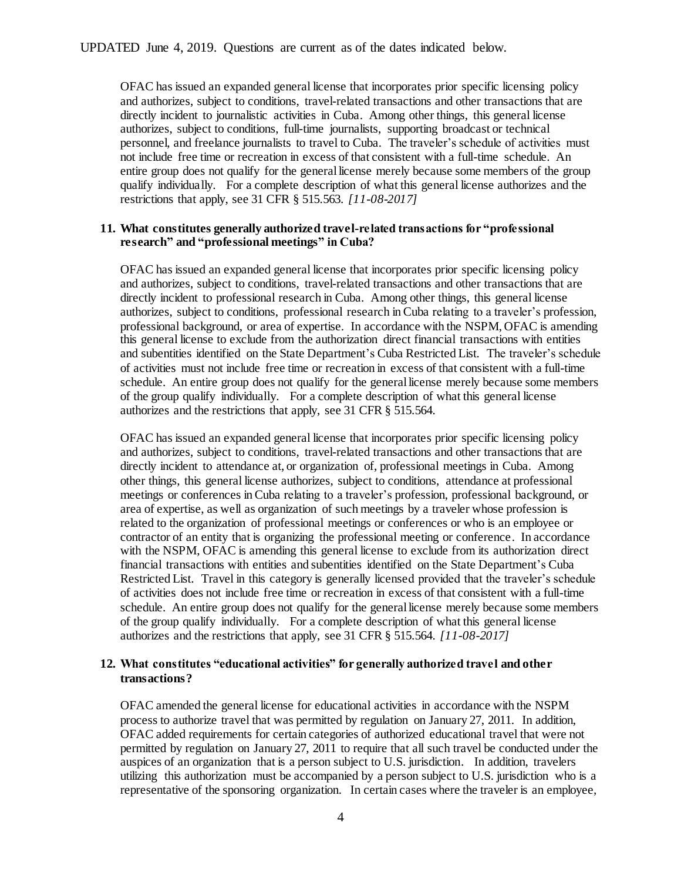OFAC has issued an expanded general license that incorporates prior specific licensing policy and authorizes, subject to conditions, travel-related transactions and other transactions that are directly incident to journalistic activities in Cuba. Among other things, this general license authorizes, subject to conditions, full-time journalists, supporting broadcast or technical personnel, and freelance journalists to travel to Cuba. The traveler's schedule of activities must not include free time or recreation in excess of that consistent with a full-time schedule. An entire group does not qualify for the general license merely because some members of the group qualify individually. For a complete description of what this general license authorizes and the restrictions that apply, see 31 CFR § 515.563. *[11-08-2017]*

#### **11. What constitutes generally authorized travel-related transactions for "professional research" and "professional meetings" in Cuba?**

OFAC has issued an expanded general license that incorporates prior specific licensing policy and authorizes, subject to conditions, travel-related transactions and other transactions that are directly incident to professional research in Cuba. Among other things, this general license authorizes, subject to conditions, professional research in Cuba relating to a traveler's profession, professional background, or area of expertise. In accordance with the NSPM, OFAC is amending this general license to exclude from the authorization direct financial transactions with entities and subentities identified on the State Department's Cuba Restricted List. The traveler's schedule of activities must not include free time or recreation in excess of that consistent with a full-time schedule. An entire group does not qualify for the general license merely because some members of the group qualify individually. For a complete description of what this general license authorizes and the restrictions that apply, see 31 CFR § 515.564.

OFAC has issued an expanded general license that incorporates prior specific licensing policy and authorizes, subject to conditions, travel-related transactions and other transactions that are directly incident to attendance at, or organization of, professional meetings in Cuba. Among other things, this general license authorizes, subject to conditions, attendance at professional meetings or conferences in Cuba relating to a traveler's profession, professional background, or area of expertise, as well as organization of such meetings by a traveler whose profession is related to the organization of professional meetings or conferences or who is an employee or contractor of an entity that is organizing the professional meeting or conference. In accordance with the NSPM, OFAC is amending this general license to exclude from its authorization direct financial transactions with entities and subentities identified on the State Department's Cuba Restricted List. Travel in this category is generally licensed provided that the traveler's schedule of activities does not include free time or recreation in excess of that consistent with a full-time schedule. An entire group does not qualify for the general license merely because some members of the group qualify individually. For a complete description of what this general license authorizes and the restrictions that apply, see 31 CFR § 515.564. *[11-08-2017]*

## **12. What constitutes "educational activities" for generally authorized travel and other transactions?**

OFAC amended the general license for educational activities in accordance with the NSPM process to authorize travel that was permitted by regulation on January 27, 2011. In addition, OFAC added requirements for certain categories of authorized educational travel that were not permitted by regulation on January 27, 2011 to require that all such travel be conducted under the auspices of an organization that is a person subject to U.S. jurisdiction. In addition, travelers utilizing this authorization must be accompanied by a person subject to U.S. jurisdiction who is a representative of the sponsoring organization. In certain cases where the traveler is an employee,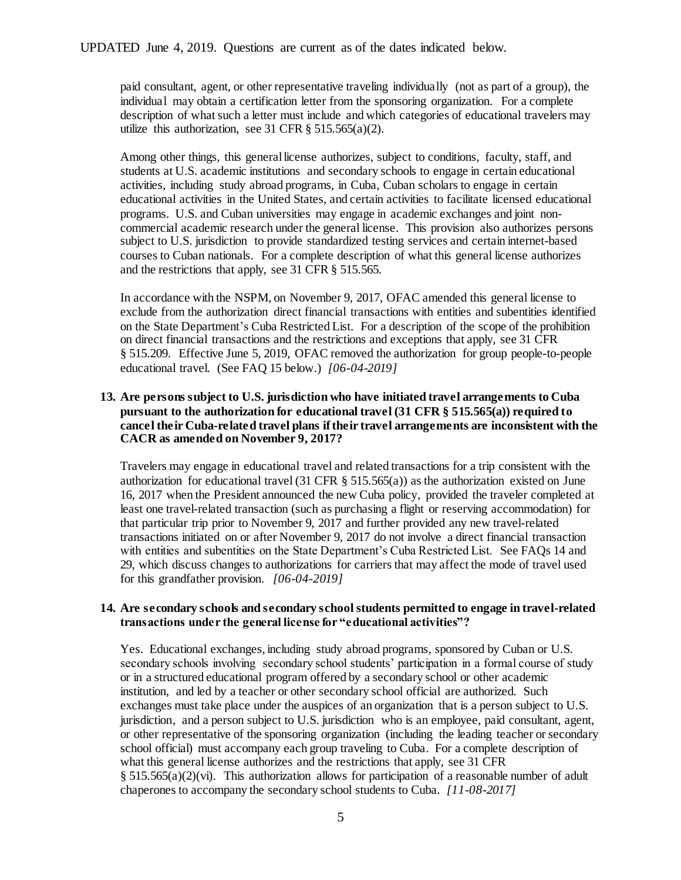paid consultant, agent, or other representative traveling individually (not as part of a group), the individual may obtain a certification letter from the sponsoring organization. For a complete description of what such a letter must include and which categories of educational travelers may utilize this authorization, see 31 CFR  $\S$  515.565(a)(2).

Among other things, this general license authorizes, subject to conditions, faculty, staff, and students at U.S. academic institutions and secondary schools to engage in certain educational activities, including study abroad programs, in Cuba, Cuban scholars to engage in certain educational activities in the United States, and certain activities to facilitate licensed educational programs. U.S. and Cuban universities may engage in academic exchanges and joint noncommercial academic research under the general license. This provision also authorizes persons subject to U.S. jurisdiction to provide standardized testing services and certain internet-based courses to Cuban nationals. For a complete description of what this general license authorizes and the restrictions that apply, see 31 CFR § 515.565.

In accordance with the NSPM, on November 9, 2017, OFAC amended this general license to exclude from the authorization direct financial transactions with entities and subentities identified on the State Department's Cuba Restricted List. For a description of the scope of the prohibition on direct financial transactions and the restrictions and exceptions that apply, see 31 CFR § 515.209. Effective June 5, 2019, OFAC removed the authorization for group people-to-people educational travel. (See FAQ 15 below.) *[06-04-2019]*

# **13. Are persons subject to U.S. jurisdiction who have initiated travel arrangements to Cuba pursuant to the authorization for educational travel (31 CFR § 515.565(a)) required to cancel their Cuba-related travel plans if their travel arrangements are inconsistent with the CACR as amended on November 9, 2017?**

Travelers may engage in educational travel and related transactions for a trip consistent with the authorization for educational travel (31 CFR § 515.565(a)) as the authorization existed on June 16, 2017 when the President announced the new Cuba policy, provided the traveler completed at least one travel-related transaction (such as purchasing a flight or reserving accommodation) for that particular trip prior to November 9, 2017 and further provided any new travel-related transactions initiated on or after November 9, 2017 do not involve a direct financial transaction with entities and subentities on the State Department's Cuba Restricted List. See FAQs 14 and 29, which discuss changes to authorizations for carriers that may affect the mode of travel used for this grandfather provision. *[06-04-2019]*

## **14. Are secondary schools and secondary school students permitted to engage in travel-related transactions under the general license for "educational activities"?**

Yes. Educational exchanges, including study abroad programs, sponsored by Cuban or U.S. secondary schools involving secondary school students' participation in a formal course of study or in a structured educational program offered by a secondary school or other academic institution, and led by a teacher or other secondary school official are authorized. Such exchanges must take place under the auspices of an organization that is a person subject to U.S. jurisdiction, and a person subject to U.S. jurisdiction who is an employee, paid consultant, agent, or other representative of the sponsoring organization (including the leading teacher or secondary school official) must accompany each group traveling to Cuba. For a complete description of what this general license authorizes and the restrictions that apply, see 31 CFR § 515.565(a)(2)(vi). This authorization allows for participation of a reasonable number of adult chaperones to accompany the secondary school students to Cuba. *[11-08-2017]*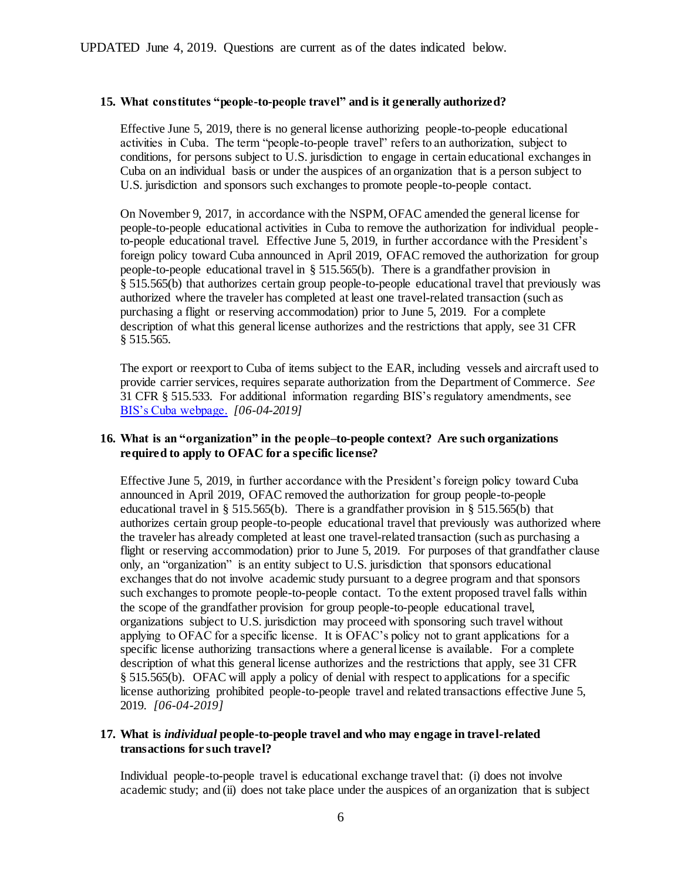# **15. What constitutes "people-to-people travel" and is it generally authorized?**

Effective June 5, 2019, there is no general license authorizing people-to-people educational activities in Cuba. The term "people-to-people travel" refers to an authorization, subject to conditions, for persons subject to U.S. jurisdiction to engage in certain educational exchanges in Cuba on an individual basis or under the auspices of an organization that is a person subject to U.S. jurisdiction and sponsors such exchanges to promote people-to-people contact.

On November 9, 2017, in accordance with the NSPM, OFAC amended the general license for people-to-people educational activities in Cuba to remove the authorization for individual peopleto-people educational travel. Effective June 5, 2019, in further accordance with the President's foreign policy toward Cuba announced in April 2019, OFAC removed the authorization for group people-to-people educational travel in § 515.565(b). There is a grandfather provision in § 515.565(b) that authorizes certain group people-to-people educational travel that previously was authorized where the traveler has completed at least one travel-related transaction (such as purchasing a flight or reserving accommodation) prior to June 5, 2019. For a complete description of what this general license authorizes and the restrictions that apply, see 31 CFR § 515.565.

The export or reexport to Cuba of items subject to the EAR, including vessels and aircraft used to provide carrier services, requires separate authorization from the Department of Commerce. *See* 31 CFR § 515.533. For additional information regarding BIS's regulatory amendments, see [BIS's Cuba webpage.](http://www.bis.doc.gov/index.php/policy-guidance/country-guidance/sanctioned-destinations/cuba) *[06-04-2019]*

# **16. What is an "organization" in the people–to-people context? Are such organizations required to apply to OFAC for a specific license?**

Effective June 5, 2019, in further accordance with the President's foreign policy toward Cuba announced in April 2019, OFAC removed the authorization for group people-to-people educational travel in § 515.565(b). There is a grandfather provision in § 515.565(b) that authorizes certain group people-to-people educational travel that previously was authorized where the traveler has already completed at least one travel-related transaction (such as purchasing a flight or reserving accommodation) prior to June 5, 2019. For purposes of that grandfather clause only, an "organization" is an entity subject to U.S. jurisdiction that sponsors educational exchanges that do not involve academic study pursuant to a degree program and that sponsors such exchanges to promote people-to-people contact. To the extent proposed travel falls within the scope of the grandfather provision for group people-to-people educational travel, organizations subject to U.S. jurisdiction may proceed with sponsoring such travel without applying to OFAC for a specific license. It is OFAC's policy not to grant applications for a specific license authorizing transactions where a general license is available. For a complete description of what this general license authorizes and the restrictions that apply, see 31 CFR § 515.565(b). OFAC will apply a policy of denial with respect to applications for a specific license authorizing prohibited people-to-people travel and related transactions effective June 5, 2019. *[06-04-2019]*

# **17. What is** *individual* **people-to-people travel and who may engage in travel-related transactions for such travel?**

Individual people-to-people travel is educational exchange travel that: (i) does not involve academic study; and (ii) does not take place under the auspices of an organization that is subject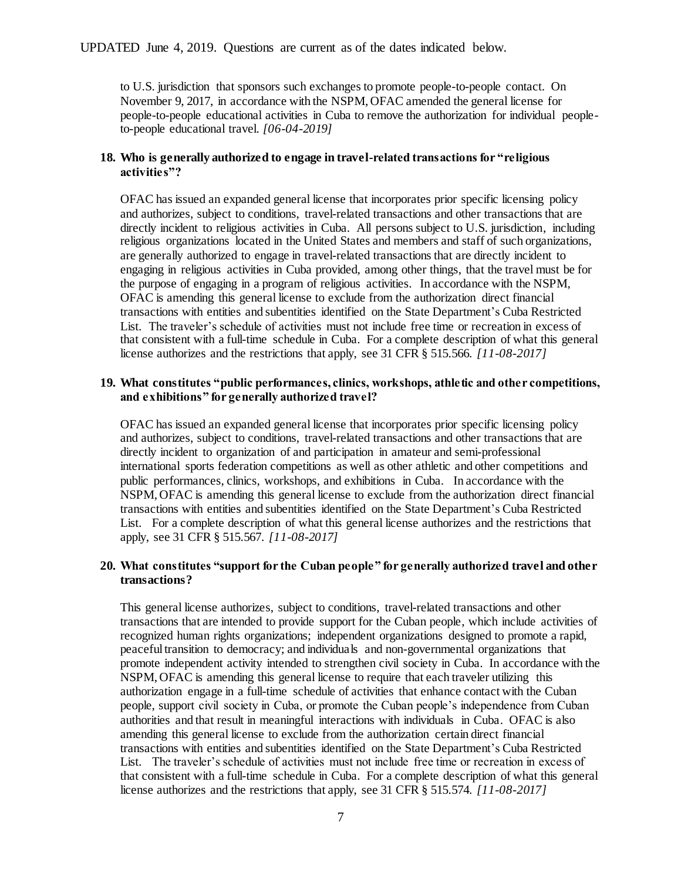to U.S. jurisdiction that sponsors such exchanges to promote people-to-people contact. On November 9, 2017, in accordance with the NSPM, OFAC amended the general license for people-to-people educational activities in Cuba to remove the authorization for individual peopleto-people educational travel. *[06-04-2019]*

#### **18. Who is generally authorized to engage in travel-related transactions for "religious activities"?**

OFAC has issued an expanded general license that incorporates prior specific licensing policy and authorizes, subject to conditions, travel-related transactions and other transactions that are directly incident to religious activities in Cuba. All persons subject to U.S. jurisdiction, including religious organizations located in the United States and members and staff of such organizations, are generally authorized to engage in travel-related transactions that are directly incident to engaging in religious activities in Cuba provided, among other things, that the travel must be for the purpose of engaging in a program of religious activities. In accordance with the NSPM, OFAC is amending this general license to exclude from the authorization direct financial transactions with entities and subentities identified on the State Department's Cuba Restricted List. The traveler's schedule of activities must not include free time or recreation in excess of that consistent with a full-time schedule in Cuba. For a complete description of what this general license authorizes and the restrictions that apply, see 31 CFR § 515.566. *[11-08-2017]*

#### **19. What constitutes "public performances, clinics, workshops, athletic and other competitions, and exhibitions" for generally authorized travel?**

OFAC has issued an expanded general license that incorporates prior specific licensing policy and authorizes, subject to conditions, travel-related transactions and other transactions that are directly incident to organization of and participation in amateur and semi-professional international sports federation competitions as well as other athletic and other competitions and public performances, clinics, workshops, and exhibitions in Cuba. In accordance with the NSPM, OFAC is amending this general license to exclude from the authorization direct financial transactions with entities and subentities identified on the State Department's Cuba Restricted List. For a complete description of what this general license authorizes and the restrictions that apply, see 31 CFR § 515.567. *[11-08-2017]*

# **20. What constitutes "support for the Cuban people" for generally authorized travel and other transactions?**

This general license authorizes, subject to conditions, travel-related transactions and other transactions that are intended to provide support for the Cuban people, which include activities of recognized human rights organizations; independent organizations designed to promote a rapid, peaceful transition to democracy; and individuals and non-governmental organizations that promote independent activity intended to strengthen civil society in Cuba. In accordance with the NSPM, OFAC is amending this general license to require that each traveler utilizing this authorization engage in a full-time schedule of activities that enhance contact with the Cuban people, support civil society in Cuba, or promote the Cuban people's independence from Cuban authorities and that result in meaningful interactions with individuals in Cuba. OFAC is also amending this general license to exclude from the authorization certain direct financial transactions with entities and subentities identified on the State Department's Cuba Restricted List. The traveler's schedule of activities must not include free time or recreation in excess of that consistent with a full-time schedule in Cuba. For a complete description of what this general license authorizes and the restrictions that apply, see 31 CFR § 515.574. *[11-08-2017]*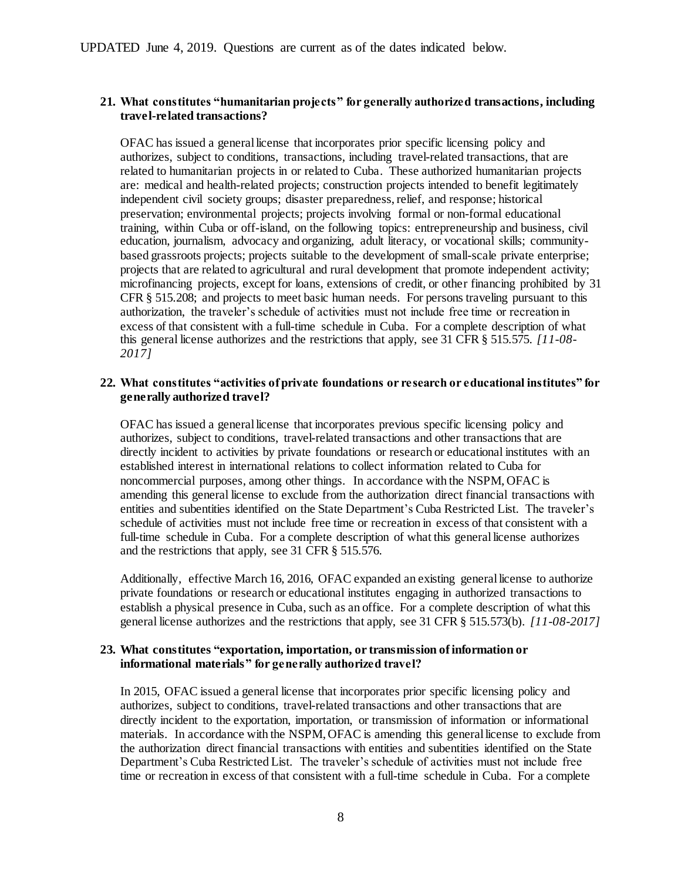## **21. What constitutes "humanitarian projects" for generally authorized transactions, including travel-related transactions?**

OFAC has issued a general license that incorporates prior specific licensing policy and authorizes, subject to conditions, transactions, including travel-related transactions, that are related to humanitarian projects in or related to Cuba. These authorized humanitarian projects are: medical and health-related projects; construction projects intended to benefit legitimately independent civil society groups; disaster preparedness, relief, and response; historical preservation; environmental projects; projects involving formal or non-formal educational training, within Cuba or off-island, on the following topics: entrepreneurship and business, civil education, journalism, advocacy and organizing, adult literacy, or vocational skills; communitybased grassroots projects; projects suitable to the development of small-scale private enterprise; projects that are related to agricultural and rural development that promote independent activity; microfinancing projects, except for loans, extensions of credit, or other financing prohibited by 31 CFR § 515.208; and projects to meet basic human needs. For persons traveling pursuant to this authorization, the traveler's schedule of activities must not include free time or recreation in excess of that consistent with a full-time schedule in Cuba. For a complete description of what this general license authorizes and the restrictions that apply, see 31 CFR § 515.575. *[11-08- 2017]*

## **22. What constitutes "activities of private foundations or research or educational institutes" for generally authorized travel?**

OFAC has issued a general license that incorporates previous specific licensing policy and authorizes, subject to conditions, travel-related transactions and other transactions that are directly incident to activities by private foundations or research or educational institutes with an established interest in international relations to collect information related to Cuba for noncommercial purposes, among other things. In accordance with the NSPM, OFAC is amending this general license to exclude from the authorization direct financial transactions with entities and subentities identified on the State Department's Cuba Restricted List. The traveler's schedule of activities must not include free time or recreation in excess of that consistent with a full-time schedule in Cuba. For a complete description of what this general license authorizes and the restrictions that apply, see 31 CFR § 515.576.

Additionally, effective March 16, 2016, OFAC expanded an existing general license to authorize private foundations or research or educational institutes engaging in authorized transactions to establish a physical presence in Cuba, such as an office. For a complete description of what this general license authorizes and the restrictions that apply, see 31 CFR § 515.573(b). *[11-08-2017]*

#### **23. What constitutes "exportation, importation, or transmission of information or informational materials" for generally authorized travel?**

In 2015, OFAC issued a general license that incorporates prior specific licensing policy and authorizes, subject to conditions, travel-related transactions and other transactions that are directly incident to the exportation, importation, or transmission of information or informational materials. In accordance with the NSPM, OFAC is amending this general license to exclude from the authorization direct financial transactions with entities and subentities identified on the State Department's Cuba Restricted List. The traveler's schedule of activities must not include free time or recreation in excess of that consistent with a full-time schedule in Cuba. For a complete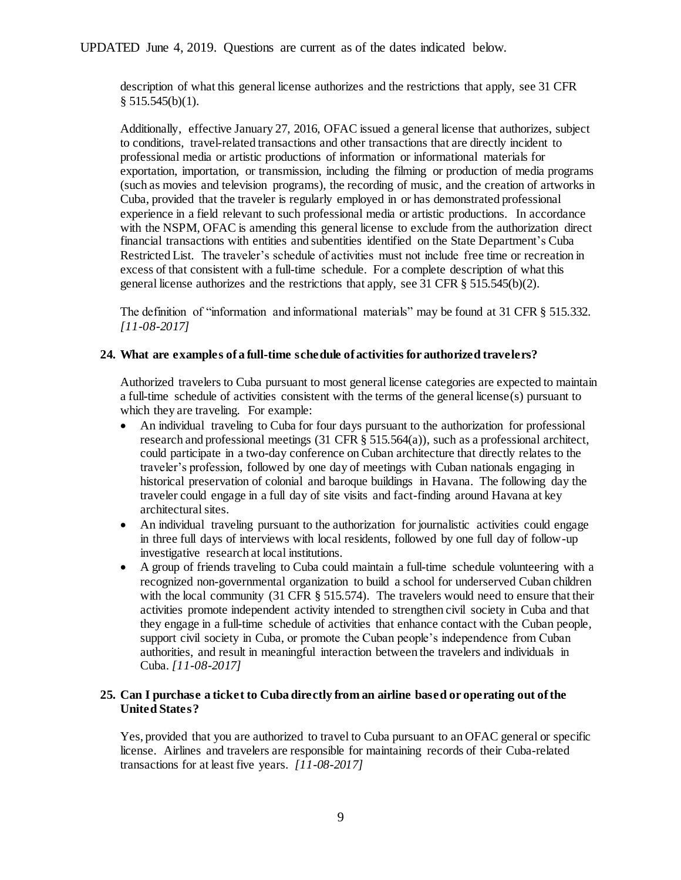description of what this general license authorizes and the restrictions that apply, see 31 CFR  $§ 515.545(b)(1).$ 

Additionally, effective January 27, 2016, OFAC issued a general license that authorizes, subject to conditions, travel-related transactions and other transactions that are directly incident to professional media or artistic productions of information or informational materials for exportation, importation, or transmission, including the filming or production of media programs (such as movies and television programs), the recording of music, and the creation of artworks in Cuba, provided that the traveler is regularly employed in or has demonstrated professional experience in a field relevant to such professional media or artistic productions. In accordance with the NSPM, OFAC is amending this general license to exclude from the authorization direct financial transactions with entities and subentities identified on the State Department's Cuba Restricted List. The traveler's schedule of activities must not include free time or recreation in excess of that consistent with a full-time schedule. For a complete description of what this general license authorizes and the restrictions that apply, see 31 CFR § 515.545(b)(2).

The definition of "information and informational materials" may be found at 31 CFR § 515.332. *[11-08-2017]*

# **24. What are examples of a full-time schedule of activities for authorized travelers?**

Authorized travelers to Cuba pursuant to most general license categories are expected to maintain a full-time schedule of activities consistent with the terms of the general license(s) pursuant to which they are traveling. For example:

- An individual traveling to Cuba for four days pursuant to the authorization for professional research and professional meetings (31 CFR § 515.564(a)), such as a professional architect, could participate in a two-day conference on Cuban architecture that directly relates to the traveler's profession, followed by one day of meetings with Cuban nationals engaging in historical preservation of colonial and baroque buildings in Havana. The following day the traveler could engage in a full day of site visits and fact-finding around Havana at key architectural sites.
- An individual traveling pursuant to the authorization for journalistic activities could engage in three full days of interviews with local residents, followed by one full day of follow-up investigative research at local institutions.
- A group of friends traveling to Cuba could maintain a full-time schedule volunteering with a recognized non-governmental organization to build a school for underserved Cuban children with the local community (31 CFR § 515.574). The travelers would need to ensure that their activities promote independent activity intended to strengthen civil society in Cuba and that they engage in a full-time schedule of activities that enhance contact with the Cuban people, support civil society in Cuba, or promote the Cuban people's independence from Cuban authorities, and result in meaningful interaction between the travelers and individuals in Cuba. *[11-08-2017]*

## **25. Can I purchase a ticket to Cuba directly from an airline based or operating out of the United States?**

Yes, provided that you are authorized to travel to Cuba pursuant to an OFAC general or specific license. Airlines and travelers are responsible for maintaining records of their Cuba-related transactions for at least five years. *[11-08-2017]*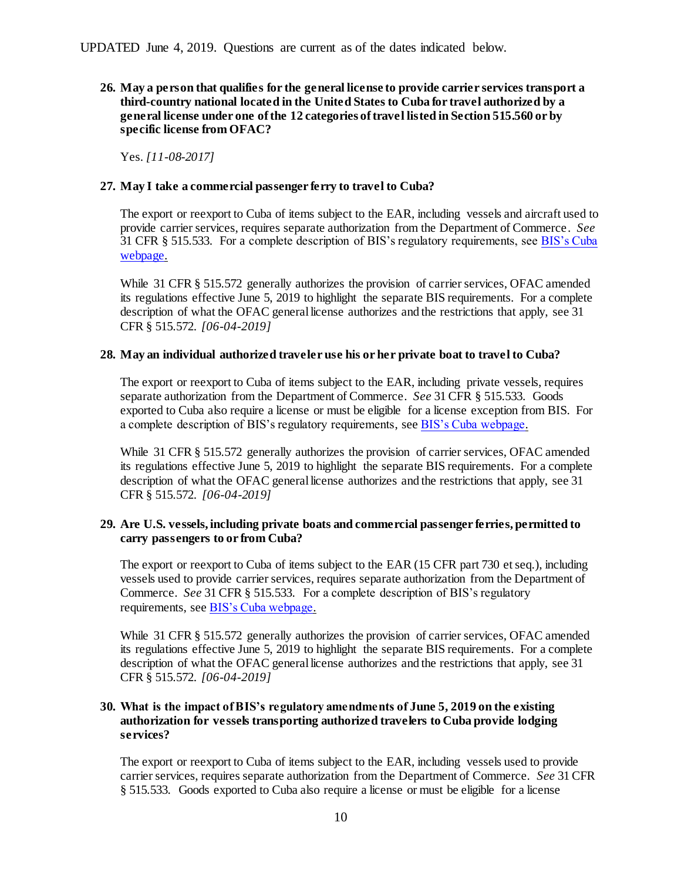**26. May a person that qualifies for the general license to provide carrier services transport a third-country national located in the United States to Cuba for travel authorized by a general license under one of the 12 categories of travel listed in Section 515.560 or by specific license from OFAC?**

Yes. *[11-08-2017]*

# **27. May I take a commercial passenger ferry to travel to Cuba?**

The export or reexport to Cuba of items subject to the EAR, including vessels and aircraft used to provide carrier services, requires separate authorization from the Department of Commerce. *See* 31 CFR § 515.533. For a complete description of BIS's regulatory requirements, se[e BIS's Cuba](http://www.bis.doc.gov/index.php/policy-guidance/country-guidance/sanctioned-destinations/cuba)  [webpage.](http://www.bis.doc.gov/index.php/policy-guidance/country-guidance/sanctioned-destinations/cuba)

While 31 CFR § 515.572 generally authorizes the provision of carrier services, OFAC amended its regulations effective June 5, 2019 to highlight the separate BIS requirements. For a complete description of what the OFAC general license authorizes and the restrictions that apply, see 31 CFR § 515.572. *[06-04-2019]*

# **28. May an individual authorized traveler use his or her private boat to travel to Cuba?**

The export or reexport to Cuba of items subject to the EAR, including private vessels, requires separate authorization from the Department of Commerce. *See* 31 CFR § 515.533. Goods exported to Cuba also require a license or must be eligible for a license exception from BIS. For a complete description of BIS's regulatory requirements, see [BIS's Cuba webpage.](http://www.bis.doc.gov/index.php/policy-guidance/country-guidance/sanctioned-destinations/cuba)

While 31 CFR § 515.572 generally authorizes the provision of carrier services, OFAC amended its regulations effective June 5, 2019 to highlight the separate BIS requirements. For a complete description of what the OFAC general license authorizes and the restrictions that apply, see 31 CFR § 515.572. *[06-04-2019]*

# **29. Are U.S. vessels, including private boats and commercial passenger ferries, permitted to carry passengers to or from Cuba?**

The export or reexport to Cuba of items subject to the EAR (15 CFR part 730 et seq.), including vessels used to provide carrier services, requires separate authorization from the Department of Commerce. *See* 31 CFR § 515.533. For a complete description of BIS's regulatory requirements, see **BIS's Cuba webpage**.

While 31 CFR § 515.572 generally authorizes the provision of carrier services, OFAC amended its regulations effective June 5, 2019 to highlight the separate BIS requirements. For a complete description of what the OFAC general license authorizes and the restrictions that apply, see 31 CFR § 515.572. *[06-04-2019]*

# **30. What is the impact of BIS's regulatory amendments of June 5, 2019 on the existing authorization for vessels transporting authorized travelers to Cuba provide lodging services?**

The export or reexport to Cuba of items subject to the EAR, including vessels used to provide carrier services, requires separate authorization from the Department of Commerce. *See* 31 CFR § 515.533. Goods exported to Cuba also require a license or must be eligible for a license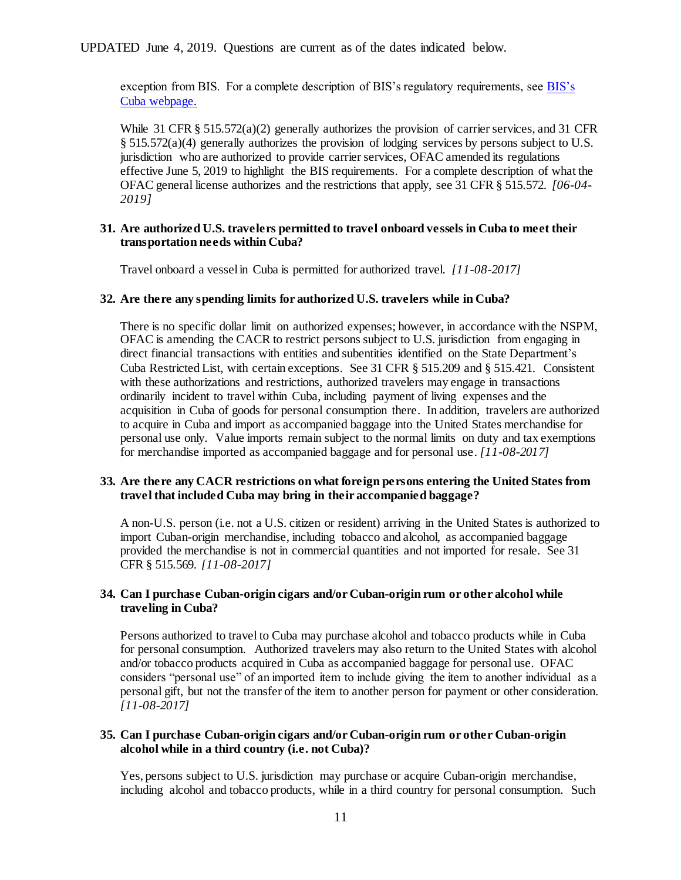exception from BIS. For a complete description of BIS's regulatory requirements, see [BIS's](http://www.bis.doc.gov/index.php/policy-guidance/country-guidance/sanctioned-destinations/cuba)  [Cuba webpage.](http://www.bis.doc.gov/index.php/policy-guidance/country-guidance/sanctioned-destinations/cuba)

While 31 CFR  $\S 515.572(a)(2)$  generally authorizes the provision of carrier services, and 31 CFR  $§ 515.572(a)(4)$  generally authorizes the provision of lodging services by persons subject to U.S. jurisdiction who are authorized to provide carrier services, OFAC amended its regulations effective June 5, 2019 to highlight the BIS requirements. For a complete description of what the OFAC general license authorizes and the restrictions that apply, see 31 CFR § 515.572. *[06-04- 2019]*

#### **31. Are authorized U.S. travelers permitted to travel onboard vessels in Cuba to meet their transportation needs within Cuba?**

Travel onboard a vessel in Cuba is permitted for authorized travel. *[11-08-2017]*

# **32. Are there any spending limits for authorized U.S. travelers while in Cuba?**

There is no specific dollar limit on authorized expenses; however, in accordance with the NSPM, OFAC is amending the CACR to restrict persons subject to U.S. jurisdiction from engaging in direct financial transactions with entities and subentities identified on the State Department's Cuba Restricted List, with certain exceptions. See 31 CFR § 515.209 and § 515.421. Consistent with these authorizations and restrictions, authorized travelers may engage in transactions ordinarily incident to travel within Cuba, including payment of living expenses and the acquisition in Cuba of goods for personal consumption there. In addition, travelers are authorized to acquire in Cuba and import as accompanied baggage into the United States merchandise for personal use only. Value imports remain subject to the normal limits on duty and tax exemptions for merchandise imported as accompanied baggage and for personal use. *[11-08-2017]*

# **33. Are there any CACR restrictions on what foreign persons entering the United States from travel that included Cuba may bring in their accompanied baggage?**

A non-U.S. person (i.e. not a U.S. citizen or resident) arriving in the United States is authorized to import Cuban-origin merchandise, including tobacco and alcohol, as accompanied baggage provided the merchandise is not in commercial quantities and not imported for resale. See 31 CFR § 515.569. *[11-08-2017]*

# **34. Can I purchase Cuban-origin cigars and/or Cuban-origin rum or other alcohol while traveling in Cuba?**

Persons authorized to travel to Cuba may purchase alcohol and tobacco products while in Cuba for personal consumption. Authorized travelers may also return to the United States with alcohol and/or tobacco products acquired in Cuba as accompanied baggage for personal use. OFAC considers "personal use" of an imported item to include giving the item to another individual as a personal gift, but not the transfer of the item to another person for payment or other consideration. *[11-08-2017]*

# **35. Can I purchase Cuban-origin cigars and/or Cuban-origin rum or other Cuban-origin alcohol while in a third country (i.e. not Cuba)?**

Yes, persons subject to U.S. jurisdiction may purchase or acquire Cuban-origin merchandise, including alcohol and tobacco products, while in a third country for personal consumption. Such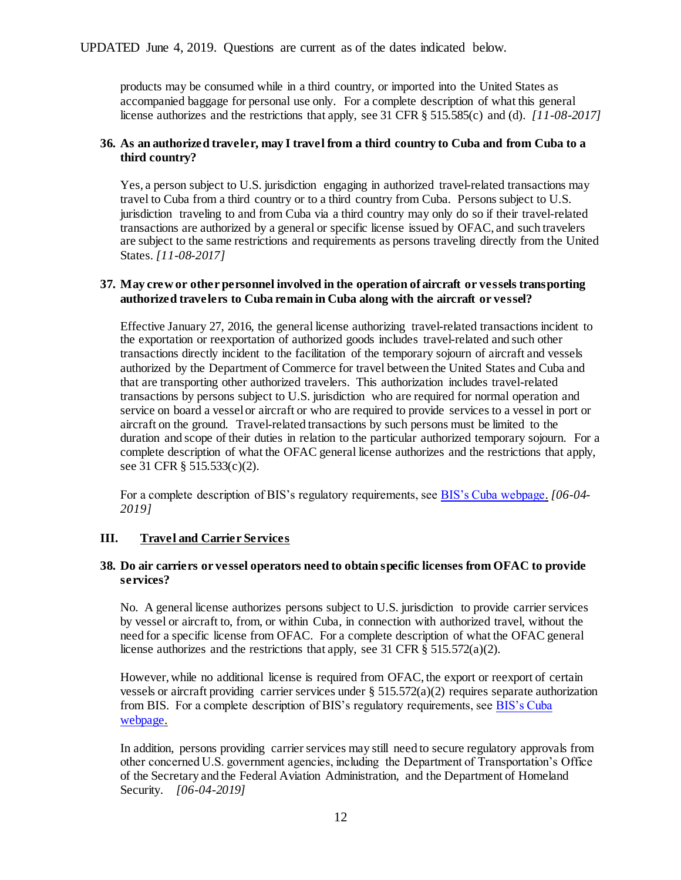products may be consumed while in a third country, or imported into the United States as accompanied baggage for personal use only. For a complete description of what this general license authorizes and the restrictions that apply, see 31 CFR § 515.585(c) and (d). *[11-08-2017]*

# **36. As an authorized traveler, may I travel from a third country to Cuba and from Cuba to a third country?**

Yes, a person subject to U.S. jurisdiction engaging in authorized travel-related transactions may travel to Cuba from a third country or to a third country from Cuba. Persons subject to U.S. jurisdiction traveling to and from Cuba via a third country may only do so if their travel-related transactions are authorized by a general or specific license issued by OFAC, and such travelers are subject to the same restrictions and requirements as persons traveling directly from the United States. *[11-08-2017]*

## **37. May crew or other personnel involved in the operation of aircraft or vessels transporting authorized travelers to Cuba remain in Cuba along with the aircraft or vessel?**

Effective January 27, 2016, the general license authorizing travel-related transactions incident to the exportation or reexportation of authorized goods includes travel-related and such other transactions directly incident to the facilitation of the temporary sojourn of aircraft and vessels authorized by the Department of Commerce for travel between the United States and Cuba and that are transporting other authorized travelers. This authorization includes travel-related transactions by persons subject to U.S. jurisdiction who are required for normal operation and service on board a vessel or aircraft or who are required to provide services to a vessel in port or aircraft on the ground. Travel-related transactions by such persons must be limited to the duration and scope of their duties in relation to the particular authorized temporary sojourn. For a complete description of what the OFAC general license authorizes and the restrictions that apply, see 31 CFR § 515.533(c)(2).

For a complete description of BIS's regulatory requirements, see [BIS's Cuba webpage.](http://www.bis.doc.gov/index.php/policy-guidance/country-guidance/sanctioned-destinations/cuba) *[06-04- 2019]*

# <span id="page-11-0"></span>**III. Travel and Carrier Services**

## **38. Do air carriers or vessel operators need to obtain specific licenses from OFAC to provide services?**

No. A general license authorizes persons subject to U.S. jurisdiction to provide carrier services by vessel or aircraft to, from, or within Cuba, in connection with authorized travel, without the need for a specific license from OFAC. For a complete description of what the OFAC general license authorizes and the restrictions that apply, see 31 CFR § 515.572(a)(2).

However, while no additional license is required from OFAC, the export or reexport of certain vessels or aircraft providing carrier services under  $\S$  515.572(a)(2) requires separate authorization from BIS. For a complete description of BIS's regulatory requirements, se[e BIS's Cuba](http://www.bis.doc.gov/index.php/policy-guidance/country-guidance/sanctioned-destinations/cuba)  [webpage.](http://www.bis.doc.gov/index.php/policy-guidance/country-guidance/sanctioned-destinations/cuba)

In addition, persons providing carrier services may still need to secure regulatory approvals from other concerned U.S. government agencies, including the Department of Transportation's Office of the Secretary and the Federal Aviation Administration, and the Department of Homeland Security. *[06-04-2019]*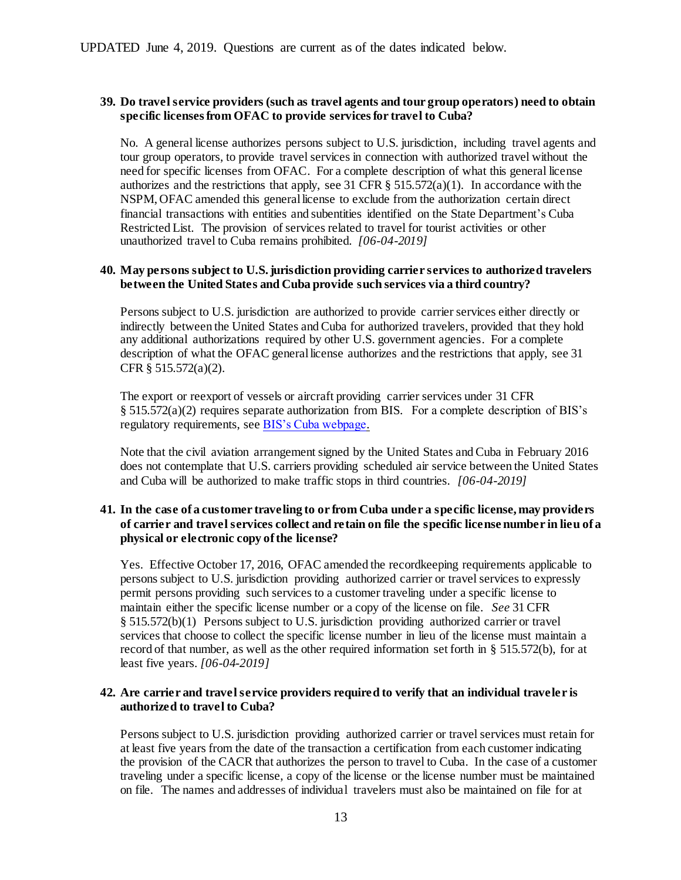# **39. Do travel service providers (such as travel agents and tour group operators) need to obtain specific licenses from OFAC to provide servicesfor travel to Cuba?**

No. A general license authorizes persons subject to U.S. jurisdiction, including travel agents and tour group operators, to provide travel services in connection with authorized travel without the need for specific licenses from OFAC. For a complete description of what this general license authorizes and the restrictions that apply, see 31 CFR  $\S$  515.572(a)(1). In accordance with the NSPM, OFAC amended this general license to exclude from the authorization certain direct financial transactions with entities and subentities identified on the State Department's Cuba Restricted List. The provision of services related to travel for tourist activities or other unauthorized travel to Cuba remains prohibited. *[06-04-2019]*

# **40. May persons subject to U.S. jurisdiction providing carrier services to authorized travelers between the United States and Cuba provide such services via a third country?**

Persons subject to U.S. jurisdiction are authorized to provide carrier services either directly or indirectly between the United States and Cuba for authorized travelers, provided that they hold any additional authorizations required by other U.S. government agencies. For a complete description of what the OFAC general license authorizes and the restrictions that apply, see 31 CFR § 515.572(a)(2).

The export or reexport of vessels or aircraft providing carrier services under 31 CFR § 515.572(a)(2) requires separate authorization from BIS. For a complete description of BIS's regulatory requirements, se[e BIS's Cuba webpage.](http://www.bis.doc.gov/index.php/policy-guidance/country-guidance/sanctioned-destinations/cuba)

Note that the civil aviation arrangement signed by the United States and Cuba in February 2016 does not contemplate that U.S. carriers providing scheduled air service between the United States and Cuba will be authorized to make traffic stops in third countries. *[06-04-2019]*

# **41. In the case of a customer traveling to or from Cuba under a specific license, may providers of carrier and travel services collect and retain on file the specific license number in lieu of a physical or electronic copy of the license?**

Yes. Effective October 17, 2016, OFAC amended the recordkeeping requirements applicable to persons subject to U.S. jurisdiction providing authorized carrier or travel services to expressly permit persons providing such services to a customer traveling under a specific license to maintain either the specific license number or a copy of the license on file. *See* 31 CFR § 515.572(b)(1) Persons subject to U.S. jurisdiction providing authorized carrier or travel services that choose to collect the specific license number in lieu of the license must maintain a record of that number, as well as the other required information set forth in § 515.572(b), for at least five years. *[06-04-2019]*

## **42. Are carrier and travel service providers required to verify that an individual traveler is authorized to travel to Cuba?**

Persons subject to U.S. jurisdiction providing authorized carrier or travel services must retain for at least five years from the date of the transaction a certification from each customer indicating the provision of the CACR that authorizes the person to travel to Cuba. In the case of a customer traveling under a specific license, a copy of the license or the license number must be maintained on file. The names and addresses of individual travelers must also be maintained on file for at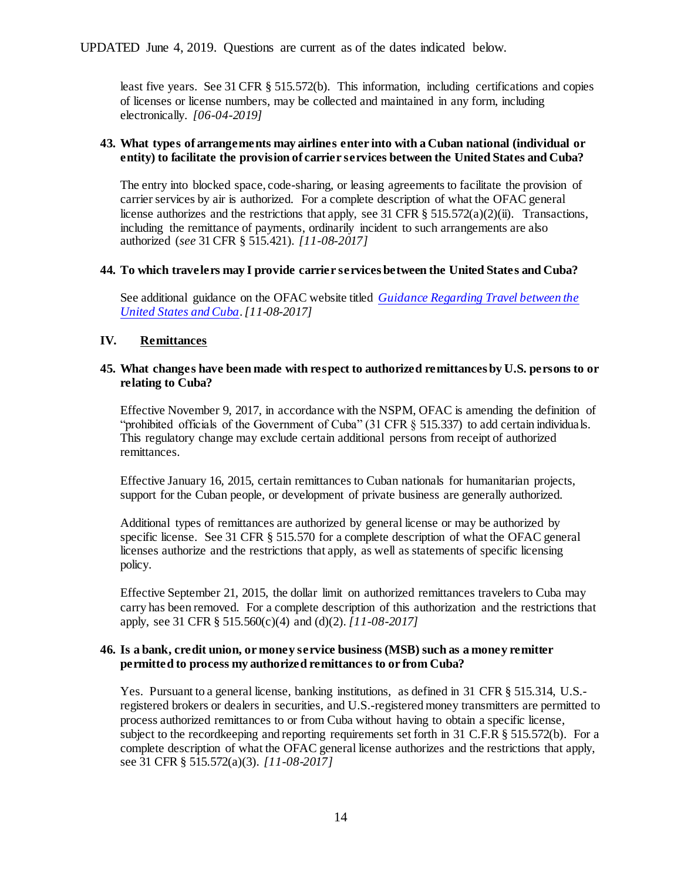least five years. See 31 CFR § 515.572(b). This information, including certifications and copies of licenses or license numbers, may be collected and maintained in any form, including electronically. *[06-04-2019]*

# **43. What types of arrangements may airlines enter into with a Cuban national (individual or entity) to facilitate the provision of carrier services between the United States and Cuba?**

The entry into blocked space, code-sharing, or leasing agreements to facilitate the provision of carrier services by air is authorized. For a complete description of what the OFAC general license authorizes and the restrictions that apply, see 31 CFR  $\S$  515.572(a)(2)(ii). Transactions, including the remittance of payments, ordinarily incident to such arrangements are also authorized (*see* 31CFR § 515.421). *[11-08-2017]*

# **44. To which travelers may I provide carrier services between the United States and Cuba?**

See additional guidance on the OFAC website titled *[Guidance Regarding Travel between the](http://www.treasury.gov/resource-center/sanctions/Programs/Documents/guidance_cuba_travel.pdf)  [United States and Cuba](http://www.treasury.gov/resource-center/sanctions/Programs/Documents/guidance_cuba_travel.pdf)*. *[11-08-2017]*

# <span id="page-13-0"></span>**IV. Remittances**

## **45. What changes have been made with respect to authorized remittances by U.S. persons to or relating to Cuba?**

Effective November 9, 2017, in accordance with the NSPM, OFAC is amending the definition of "prohibited officials of the Government of Cuba" (31 CFR § 515.337) to add certain individuals. This regulatory change may exclude certain additional persons from receipt of authorized remittances.

Effective January 16, 2015, certain remittances to Cuban nationals for humanitarian projects, support for the Cuban people, or development of private business are generally authorized.

Additional types of remittances are authorized by general license or may be authorized by specific license. See 31 CFR § 515.570 for a complete description of what the OFAC general licenses authorize and the restrictions that apply, as well as statements of specific licensing policy.

Effective September 21, 2015, the dollar limit on authorized remittances travelers to Cuba may carry has been removed. For a complete description of this authorization and the restrictions that apply, see 31 CFR § 515.560(c)(4) and (d)(2). *[11-08-2017]*

## **46. Is a bank, credit union, or money service business (MSB) such as a money remitter permitted to process my authorized remittances to or from Cuba?**

Yes. Pursuant to a general license, banking institutions, as defined in 31 CFR § 515.314, U.S. registered brokers or dealers in securities, and U.S.-registered money transmitters are permitted to process authorized remittances to or from Cuba without having to obtain a specific license, subject to the recordkeeping and reporting requirements set forth in 31 C.F.R § 515.572(b). For a complete description of what the OFAC general license authorizes and the restrictions that apply, see 31 CFR § 515.572(a)(3). *[11-08-2017]*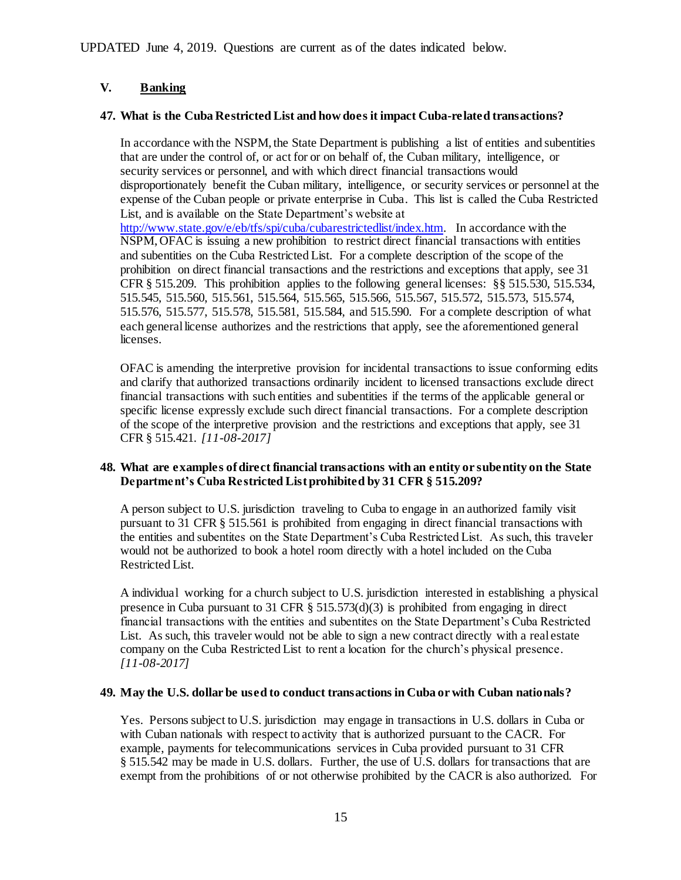# <span id="page-14-0"></span>**V. Banking**

# **47. What is the Cuba Restricted List and how does it impact Cuba-related transactions?**

In accordance with the NSPM, the State Department is publishing a list of entities and subentities that are under the control of, or act for or on behalf of, the Cuban military, intelligence, or security services or personnel, and with which direct financial transactions would disproportionately benefit the Cuban military, intelligence, or security services or personnel at the expense of the Cuban people or private enterprise in Cuba. This list is called the Cuba Restricted List, and is available on the State Department's website at [http://www.state.gov/e/eb/tfs/spi/cuba/cubarestrictedlist/index.htm.](http://www.state.gov/e/eb/tfs/spi/cuba/cubarestrictedlist/index.htm) In accordance with the NSPM, OFAC is issuing a new prohibition to restrict direct financial transactions with entities and subentities on the Cuba Restricted List. For a complete description of the scope of the prohibition on direct financial transactions and the restrictions and exceptions that apply, see 31 CFR § 515.209. This prohibition applies to the following general licenses: §§ 515.530, 515.534, 515.545, 515.560, 515.561, 515.564, 515.565, 515.566, 515.567, 515.572, 515.573, 515.574, 515.576, 515.577, 515.578, 515.581, 515.584, and 515.590. For a complete description of what each general license authorizes and the restrictions that apply, see the aforementioned general licenses.

OFAC is amending the interpretive provision for incidental transactions to issue conforming edits and clarify that authorized transactions ordinarily incident to licensed transactions exclude direct financial transactions with such entities and subentities if the terms of the applicable general or specific license expressly exclude such direct financial transactions. For a complete description of the scope of the interpretive provision and the restrictions and exceptions that apply, see 31 CFR § 515.421. *[11-08-2017]*

# **48. What are examples of direct financial transactions with an entity or subentity on the State Department's Cuba Restricted List prohibited by 31 CFR § 515.209?**

A person subject to U.S. jurisdiction traveling to Cuba to engage in an authorized family visit pursuant to 31 CFR § 515.561 is prohibited from engaging in direct financial transactions with the entities and subentites on the State Department's Cuba Restricted List. As such, this traveler would not be authorized to book a hotel room directly with a hotel included on the Cuba Restricted List.

A individual working for a church subject to U.S. jurisdiction interested in establishing a physical presence in Cuba pursuant to 31 CFR  $\S$  515.573(d)(3) is prohibited from engaging in direct financial transactions with the entities and subentites on the State Department's Cuba Restricted List. As such, this traveler would not be able to sign a new contract directly with a real estate company on the Cuba Restricted List to rent a location for the church's physical presence. *[11-08-2017]*

# **49. May the U.S. dollar be used to conduct transactions in Cuba or with Cuban nationals?**

Yes. Persons subject to U.S. jurisdiction may engage in transactions in U.S. dollars in Cuba or with Cuban nationals with respect to activity that is authorized pursuant to the CACR. For example, payments for telecommunications services in Cuba provided pursuant to 31 CFR § 515.542 may be made in U.S. dollars. Further, the use of U.S. dollars for transactions that are exempt from the prohibitions of or not otherwise prohibited by the CACR is also authorized. For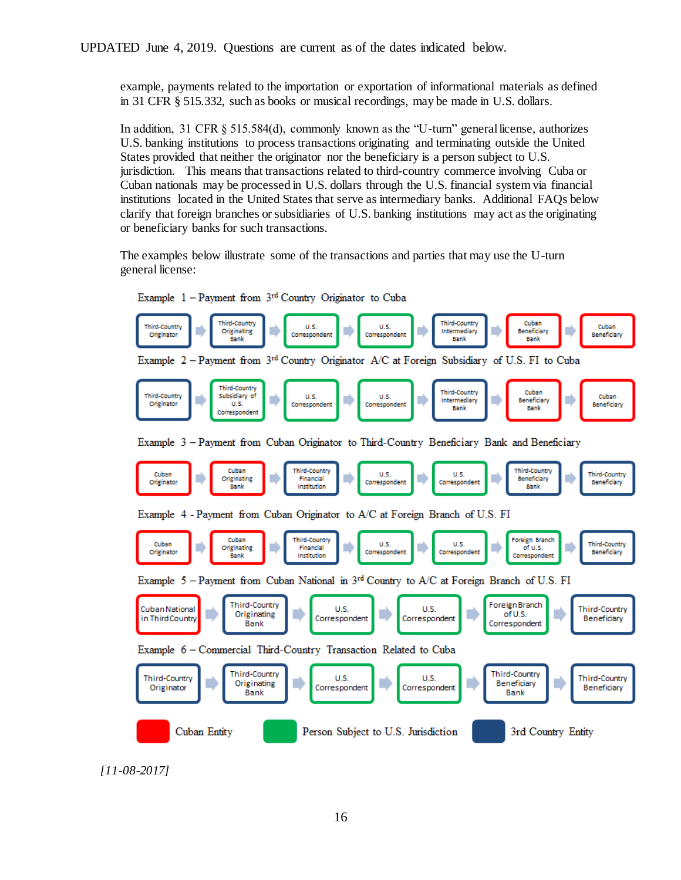example, payments related to the importation or exportation of informational materials as defined in 31 CFR § 515.332, such as books or musical recordings, may be made in U.S. dollars.

In addition, 31 CFR § 515.584(d), commonly known as the "U-turn" general license, authorizes U.S. banking institutions to process transactions originating and terminating outside the United States provided that neither the originator nor the beneficiary is a person subject to U.S. jurisdiction. This means that transactions related to third-country commerce involving Cuba or Cuban nationals may be processed in U.S. dollars through the U.S. financial system via financial institutions located in the United States that serve as intermediary banks. Additional FAQs below clarify that foreign branches or subsidiaries of U.S. banking institutions may act as the originating or beneficiary banks for such transactions.

The examples below illustrate some of the transactions and parties that may use the U-turn general license:



Example 1 - Payment from 3<sup>rd</sup> Country Originator to Cuba

*[11-08-2017]*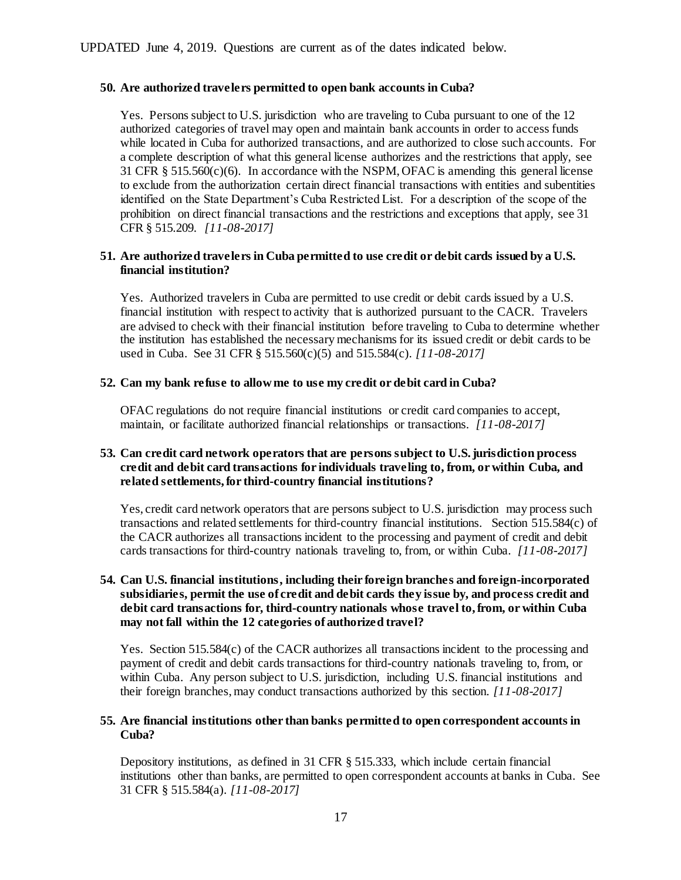# **50. Are authorized travelers permitted to open bank accounts in Cuba?**

Yes. Persons subject to U.S. jurisdiction who are traveling to Cuba pursuant to one of the 12 authorized categories of travel may open and maintain bank accounts in order to access funds while located in Cuba for authorized transactions, and are authorized to close such accounts. For a complete description of what this general license authorizes and the restrictions that apply, see 31 CFR § 515.560(c)(6). In accordance with the NSPM, OFAC is amending this general license to exclude from the authorization certain direct financial transactions with entities and subentities identified on the State Department's Cuba Restricted List. For a description of the scope of the prohibition on direct financial transactions and the restrictions and exceptions that apply, see 31 CFR § 515.209. *[11-08-2017]*

# **51. Are authorized travelers in Cuba permitted to use credit or debit cards issued by a U.S. financial institution?**

Yes. Authorized travelers in Cuba are permitted to use credit or debit cards issued by a U.S. financial institution with respect to activity that is authorized pursuant to the CACR. Travelers are advised to check with their financial institution before traveling to Cuba to determine whether the institution has established the necessary mechanisms for its issued credit or debit cards to be used in Cuba. See 31 CFR § 515.560(c)(5) and 515.584(c). *[11-08-2017]*

## **52. Can my bank refuse to allow me to use my credit or debit card in Cuba?**

OFAC regulations do not require financial institutions or credit card companies to accept, maintain, or facilitate authorized financial relationships or transactions. *[11-08-2017]*

# **53. Can credit card network operators that are persons subject to U.S. jurisdiction process credit and debit card transactions for individuals traveling to, from, or within Cuba, and related settlements, for third-country financial institutions?**

Yes, credit card network operators that are persons subject to U.S. jurisdiction may process such transactions and related settlements for third-country financial institutions. Section 515.584(c) of the CACR authorizes all transactions incident to the processing and payment of credit and debit cards transactions for third-country nationals traveling to, from, or within Cuba. *[11-08-2017]*

# **54. Can U.S. financial institutions, including their foreign branches and foreign-incorporated subsidiaries, permit the use of credit and debit cards they issue by, and process credit and debit card transactions for, third-country nationals whose travel to, from, or within Cuba may not fall within the 12 categories of authorized travel?**

Yes. Section 515.584(c) of the CACR authorizes all transactions incident to the processing and payment of credit and debit cards transactions for third-country nationals traveling to, from, or within Cuba. Any person subject to U.S. jurisdiction, including U.S. financial institutions and their foreign branches,may conduct transactions authorized by this section. *[11-08-2017]*

## **55. Are financial institutions other than banks permitted to open correspondent accounts in Cuba?**

Depository institutions, as defined in 31 CFR § 515.333, which include certain financial institutions other than banks, are permitted to open correspondent accounts at banks in Cuba. See 31 CFR § 515.584(a). *[11-08-2017]*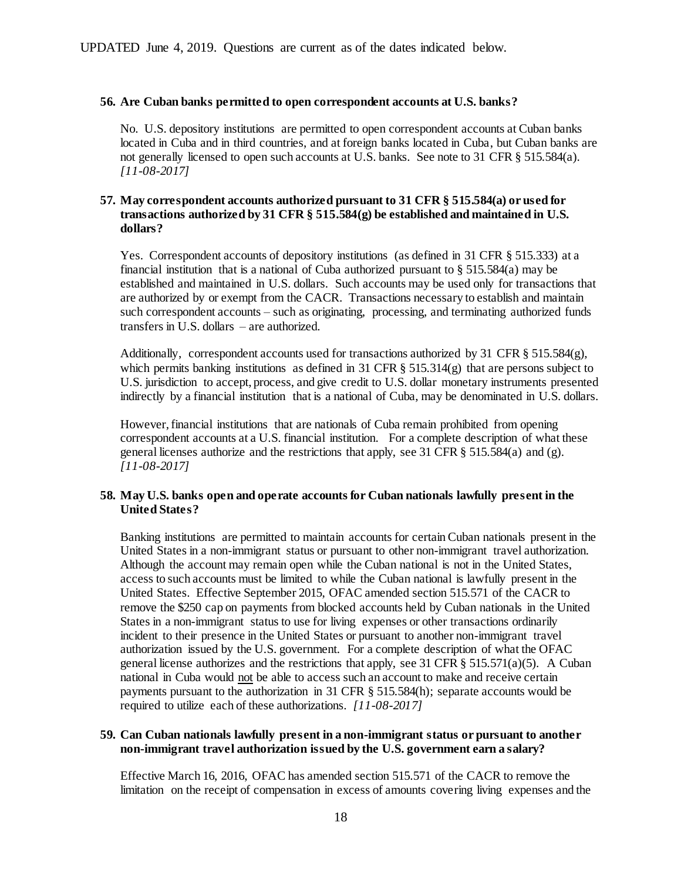# **56. Are Cuban banks permitted to open correspondent accounts at U.S. banks?**

No. U.S. depository institutions are permitted to open correspondent accounts at Cuban banks located in Cuba and in third countries, and at foreign banks located in Cuba, but Cuban banks are not generally licensed to open such accounts at U.S. banks. See note to 31 CFR § 515.584(a). *[11-08-2017]*

## **57. May correspondent accounts authorized pursuant to 31 CFR § 515.584(a) or used for transactions authorized by 31 CFR § 515.584(g) be established and maintained in U.S. dollars?**

Yes. Correspondent accounts of depository institutions (as defined in 31 CFR § 515.333) at a financial institution that is a national of Cuba authorized pursuant to  $\S 515.584(a)$  may be established and maintained in U.S. dollars. Such accounts may be used only for transactions that are authorized by or exempt from the CACR. Transactions necessary to establish and maintain such correspondent accounts – such as originating, processing, and terminating authorized funds transfers in U.S. dollars – are authorized.

Additionally, correspondent accounts used for transactions authorized by 31 CFR § 515.584(g), which permits banking institutions as defined in 31 CFR  $\S$  515.314(g) that are persons subject to U.S. jurisdiction to accept, process, and give credit to U.S. dollar monetary instruments presented indirectly by a financial institution that is a national of Cuba, may be denominated in U.S. dollars.

However, financial institutions that are nationals of Cuba remain prohibited from opening correspondent accounts at a U.S. financial institution. For a complete description of what these general licenses authorize and the restrictions that apply, see 31 CFR  $\S$  515.584(a) and (g). *[11-08-2017]*

## **58. May U.S. banks open and operate accounts for Cuban nationals lawfully present in the United States?**

Banking institutions are permitted to maintain accounts for certain Cuban nationals present in the United States in a non-immigrant status or pursuant to other non-immigrant travel authorization. Although the account may remain open while the Cuban national is not in the United States, access to such accounts must be limited to while the Cuban national is lawfully present in the United States. Effective September 2015, OFAC amended section 515.571 of the CACR to remove the \$250 cap on payments from blocked accounts held by Cuban nationals in the United States in a non-immigrant status to use for living expenses or other transactions ordinarily incident to their presence in the United States or pursuant to another non-immigrant travel authorization issued by the U.S. government. For a complete description of what the OFAC general license authorizes and the restrictions that apply, see 31 CFR  $\S$  515.571(a)(5). A Cuban national in Cuba would not be able to access such an account to make and receive certain payments pursuant to the authorization in 31 CFR § 515.584(h); separate accounts would be required to utilize each of these authorizations. *[11-08-2017]*

## **59. Can Cuban nationals lawfully present in a non-immigrant status or pursuant to another non-immigrant travel authorization issued by the U.S. government earn a salary?**

Effective March 16, 2016, OFAC has amended section 515.571 of the CACR to remove the limitation on the receipt of compensation in excess of amounts covering living expenses and the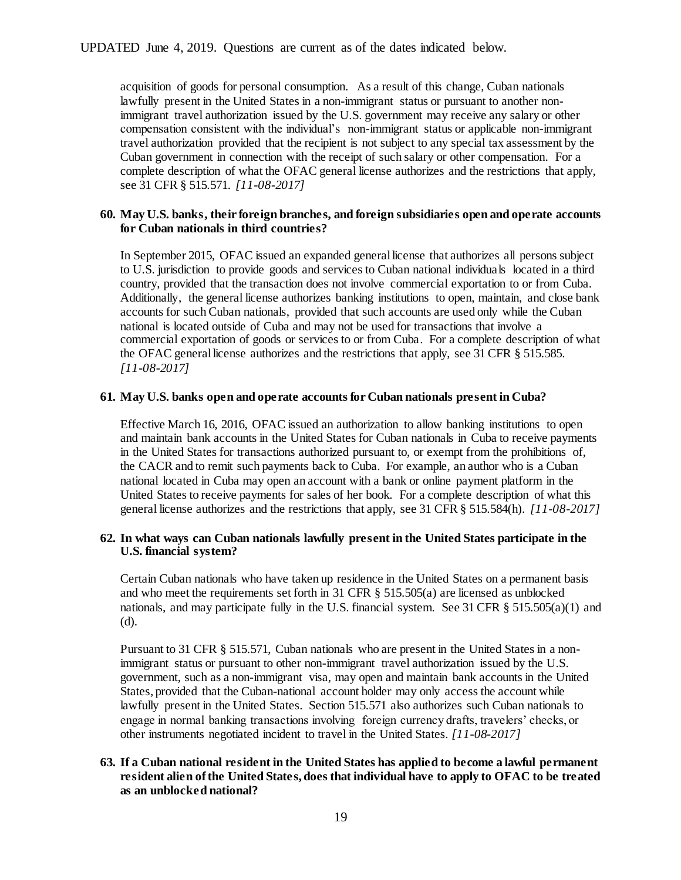acquisition of goods for personal consumption. As a result of this change, Cuban nationals lawfully present in the United States in a non-immigrant status or pursuant to another nonimmigrant travel authorization issued by the U.S. government may receive any salary or other compensation consistent with the individual's non-immigrant status or applicable non-immigrant travel authorization provided that the recipient is not subject to any special tax assessment by the Cuban government in connection with the receipt of such salary or other compensation. For a complete description of what the OFAC general license authorizes and the restrictions that apply, see 31 CFR § 515.571. *[11-08-2017]*

#### **60. May U.S. banks, their foreign branches, and foreign subsidiaries open and operate accounts for Cuban nationals in third countries?**

In September 2015, OFAC issued an expanded general license that authorizes all persons subject to U.S. jurisdiction to provide goods and services to Cuban national individuals located in a third country, provided that the transaction does not involve commercial exportation to or from Cuba. Additionally, the general license authorizes banking institutions to open, maintain, and close bank accounts for such Cuban nationals, provided that such accounts are used only while the Cuban national is located outside of Cuba and may not be used for transactions that involve a commercial exportation of goods or services to or from Cuba. For a complete description of what the OFAC general license authorizes and the restrictions that apply, see 31 CFR § 515.585. *[11-08-2017]*

#### **61. May U.S. banks open and operate accounts for Cuban nationals present in Cuba?**

Effective March 16, 2016, OFAC issued an authorization to allow banking institutions to open and maintain bank accounts in the United States for Cuban nationals in Cuba to receive payments in the United States for transactions authorized pursuant to, or exempt from the prohibitions of, the CACR and to remit such payments back to Cuba. For example, an author who is a Cuban national located in Cuba may open an account with a bank or online payment platform in the United States to receive payments for sales of her book. For a complete description of what this general license authorizes and the restrictions that apply, see 31 CFR § 515.584(h). *[11-08-2017]*

#### **62. In what ways can Cuban nationals lawfully present in the United States participate in the U.S. financial system?**

Certain Cuban nationals who have taken up residence in the United States on a permanent basis and who meet the requirements set forth in 31 CFR § 515.505(a) are licensed as unblocked nationals, and may participate fully in the U.S. financial system. See 31 CFR § 515.505(a)(1) and (d).

Pursuant to 31 CFR § 515.571, Cuban nationals who are present in the United States in a nonimmigrant status or pursuant to other non-immigrant travel authorization issued by the U.S. government, such as a non-immigrant visa, may open and maintain bank accounts in the United States, provided that the Cuban-national account holder may only access the account while lawfully present in the United States. Section 515.571 also authorizes such Cuban nationals to engage in normal banking transactions involving foreign currency drafts, travelers' checks, or other instruments negotiated incident to travel in the United States. *[11-08-2017]*

# **63. If a Cuban national resident in the United States has applied to become a lawful permanent resident alien of the United States, does that individual have to apply to OFAC to be treated as an unblocked national?**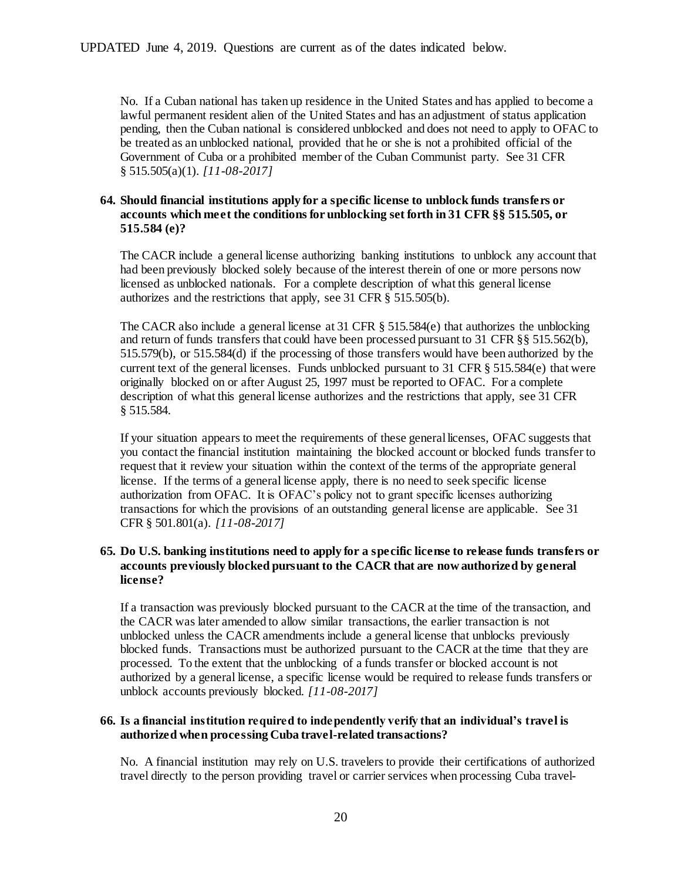No. If a Cuban national has taken up residence in the United States and has applied to become a lawful permanent resident alien of the United States and has an adjustment of status application pending, then the Cuban national is considered unblocked and does not need to apply to OFAC to be treated as an unblocked national, provided that he or she is not a prohibited official of the Government of Cuba or a prohibited member of the Cuban Communist party. See 31 CFR § 515.505(a)(1). *[11-08-2017]*

# **64. Should financial institutions apply for a specific license to unblock funds transfers or accounts which meet the conditions for unblocking set forth in 31 CFR §§ 515.505, or 515.584 (e)?**

The CACR include a general license authorizing banking institutions to unblock any account that had been previously blocked solely because of the interest therein of one or more persons now licensed as unblocked nationals. For a complete description of what this general license authorizes and the restrictions that apply, see 31 CFR § 515.505(b).

The CACR also include a general license at 31 CFR  $\S$  515.584(e) that authorizes the unblocking and return of funds transfers that could have been processed pursuant to 31 CFR §§ 515.562(b), 515.579(b), or 515.584(d) if the processing of those transfers would have been authorized by the current text of the general licenses. Funds unblocked pursuant to 31 CFR  $\S$  515.584(e) that were originally blocked on or after August 25, 1997 must be reported to OFAC. For a complete description of what this general license authorizes and the restrictions that apply, see 31 CFR § 515.584.

If your situation appears to meet the requirements of these general licenses, OFAC suggests that you contact the financial institution maintaining the blocked account or blocked funds transfer to request that it review your situation within the context of the terms of the appropriate general license. If the terms of a general license apply, there is no need to seek specific license authorization from OFAC. It is OFAC's policy not to grant specific licenses authorizing transactions for which the provisions of an outstanding general license are applicable. See 31 CFR § 501.801(a). *[11-08-2017]*

# **65. Do U.S. banking institutions need to apply for a specific license to release funds transfers or accounts previously blocked pursuant to the CACR that are now authorized by general license?**

If a transaction was previously blocked pursuant to the CACR at the time of the transaction, and the CACR was later amended to allow similar transactions, the earlier transaction is not unblocked unless the CACR amendments include a general license that unblocks previously blocked funds. Transactions must be authorized pursuant to the CACR at the time that they are processed. To the extent that the unblocking of a funds transfer or blocked account is not authorized by a general license, a specific license would be required to release funds transfers or unblock accounts previously blocked. *[11-08-2017]*

## **66. Is a financial institution required to independently verify that an individual's travel is authorized when processing Cuba travel-related transactions?**

No. A financial institution may rely on U.S. travelers to provide their certifications of authorized travel directly to the person providing travel or carrier services when processing Cuba travel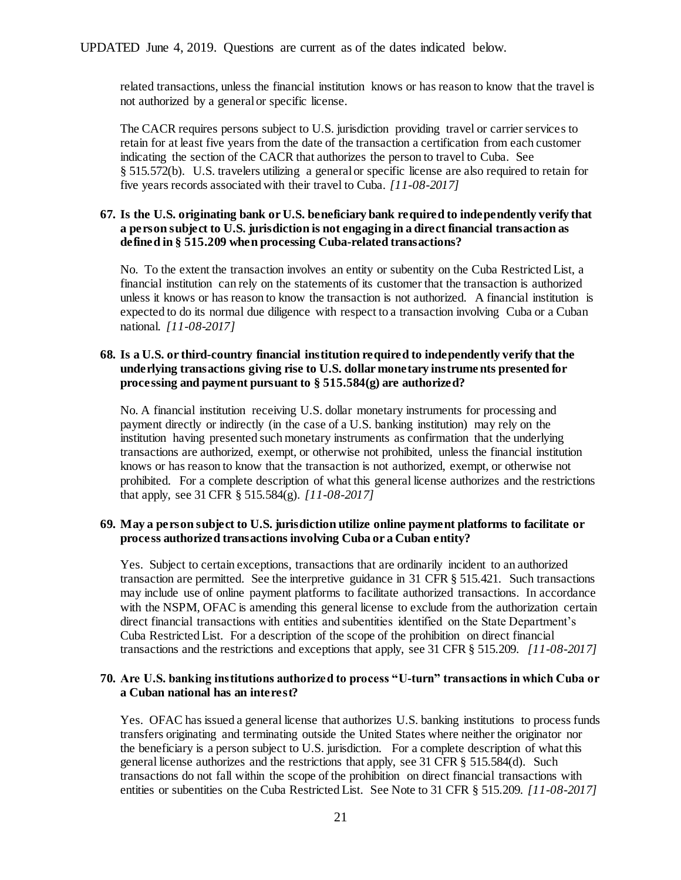related transactions, unless the financial institution knows or has reason to know that the travel is not authorized by a general or specific license.

The CACR requires persons subject to U.S. jurisdiction providing travel or carrier services to retain for at least five years from the date of the transaction a certification from each customer indicating the section of the CACR that authorizes the person to travel to Cuba. See § 515.572(b). U.S. travelers utilizing a general or specific license are also required to retain for five years records associated with their travel to Cuba. *[11-08-2017]*

#### **67. Is the U.S. originating bank or U.S. beneficiary bank required to independently verify that a person subject to U.S. jurisdiction is not engaging in a direct financial transaction as defined in § 515.209 when processing Cuba-related transactions?**

No. To the extent the transaction involves an entity or subentity on the Cuba Restricted List, a financial institution can rely on the statements of its customer that the transaction is authorized unless it knows or has reason to know the transaction is not authorized. A financial institution is expected to do its normal due diligence with respect to a transaction involving Cuba or a Cuban national. *[11-08-2017]*

# **68. Is a U.S. or third-country financial institution required to independently verify that the underlying transactions giving rise to U.S. dollar monetary instrume nts presented for processing and payment pursuant to § 515.584(g) are authorized?**

No. A financial institution receiving U.S. dollar monetary instruments for processing and payment directly or indirectly (in the case of a U.S. banking institution) may rely on the institution having presented such monetary instruments as confirmation that the underlying transactions are authorized, exempt, or otherwise not prohibited, unless the financial institution knows or has reason to know that the transaction is not authorized, exempt, or otherwise not prohibited. For a complete description of what this general license authorizes and the restrictions that apply, see 31 CFR § 515.584(g). *[11-08-2017]*

## **69. May a person subject to U.S. jurisdiction utilize online payment platforms to facilitate or process authorized transactions involving Cuba or a Cuban entity?**

Yes. Subject to certain exceptions, transactions that are ordinarily incident to an authorized transaction are permitted. See the interpretive guidance in 31 CFR § 515.421. Such transactions may include use of online payment platforms to facilitate authorized transactions. In accordance with the NSPM, OFAC is amending this general license to exclude from the authorization certain direct financial transactions with entities and subentities identified on the State Department's Cuba Restricted List. For a description of the scope of the prohibition on direct financial transactions and the restrictions and exceptions that apply, see 31 CFR § 515.209. *[11-08-2017]*

## **70. Are U.S. banking institutions authorized to process "U-turn" transactions in which Cuba or a Cuban national has an interest?**

Yes. OFAC has issued a general license that authorizes U.S. banking institutions to process funds transfers originating and terminating outside the United States where neither the originator nor the beneficiary is a person subject to U.S. jurisdiction. For a complete description of what this general license authorizes and the restrictions that apply, see 31 CFR § 515.584(d). Such transactions do not fall within the scope of the prohibition on direct financial transactions with entities or subentities on the Cuba Restricted List. See Note to 31 CFR § 515.209. *[11-08-2017]*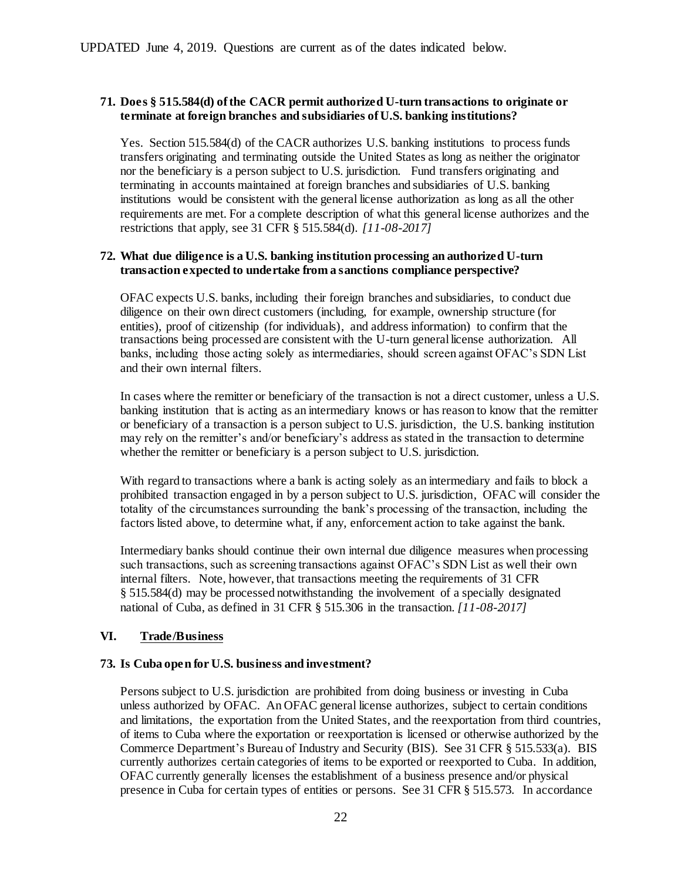# **71. Does § 515.584(d) of the CACR permit authorized U-turn transactions to originate or terminate at foreign branches and subsidiaries of U.S. banking institutions?**

Yes. Section 515.584(d) of the CACR authorizes U.S. banking institutions to process funds transfers originating and terminating outside the United States as long as neither the originator nor the beneficiary is a person subject to U.S. jurisdiction. Fund transfers originating and terminating in accounts maintained at foreign branches and subsidiaries of U.S. banking institutions would be consistent with the general license authorization as long as all the other requirements are met. For a complete description of what this general license authorizes and the restrictions that apply, see 31 CFR § 515.584(d). *[11-08-2017]*

## **72. What due diligence is a U.S. banking institution processing an authorized U-turn transaction expected to undertake from a sanctions compliance perspective?**

OFAC expects U.S. banks, including their foreign branches and subsidiaries, to conduct due diligence on their own direct customers (including, for example, ownership structure (for entities), proof of citizenship (for individuals), and address information) to confirm that the transactions being processed are consistent with the U-turn general license authorization. All banks, including those acting solely as intermediaries, should screen against OFAC's SDN List and their own internal filters.

In cases where the remitter or beneficiary of the transaction is not a direct customer, unless a U.S. banking institution that is acting as an intermediary knows or has reason to know that the remitter or beneficiary of a transaction is a person subject to U.S. jurisdiction, the U.S. banking institution may rely on the remitter's and/or beneficiary's address as stated in the transaction to determine whether the remitter or beneficiary is a person subject to U.S. jurisdiction.

With regard to transactions where a bank is acting solely as an intermediary and fails to block a prohibited transaction engaged in by a person subject to U.S. jurisdiction, OFAC will consider the totality of the circumstances surrounding the bank's processing of the transaction, including the factors listed above, to determine what, if any, enforcement action to take against the bank.

Intermediary banks should continue their own internal due diligence measures when processing such transactions, such as screening transactions against OFAC's SDN List as well their own internal filters. Note, however, that transactions meeting the requirements of 31 CFR § 515.584(d) may be processed notwithstanding the involvement of a specially designated national of Cuba, as defined in 31 CFR § 515.306 in the transaction. *[11-08-2017]*

## <span id="page-21-0"></span>**VI. Trade/Business**

## **73. Is Cuba open for U.S. business and investment?**

Persons subject to U.S. jurisdiction are prohibited from doing business or investing in Cuba unless authorized by OFAC. An OFAC general license authorizes, subject to certain conditions and limitations, the exportation from the United States, and the reexportation from third countries, of items to Cuba where the exportation or reexportation is licensed or otherwise authorized by the Commerce Department's Bureau of Industry and Security (BIS). See 31 CFR § 515.533(a). BIS currently authorizes certain categories of items to be exported or reexported to Cuba. In addition, OFAC currently generally licenses the establishment of a business presence and/or physical presence in Cuba for certain types of entities or persons. See 31 CFR § 515.573. In accordance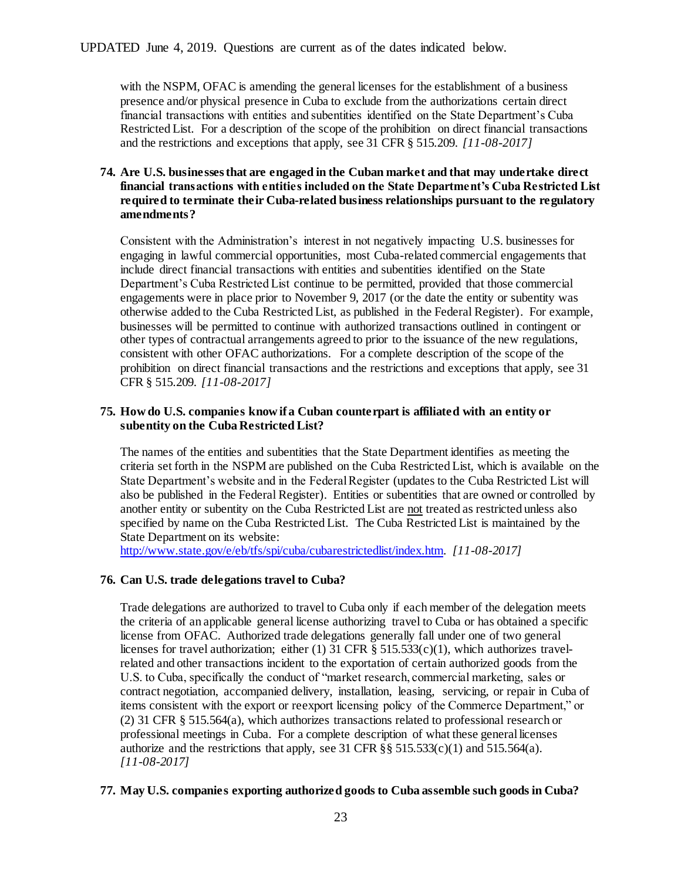with the NSPM, OFAC is amending the general licenses for the establishment of a business presence and/or physical presence in Cuba to exclude from the authorizations certain direct financial transactions with entities and subentities identified on the State Department's Cuba Restricted List. For a description of the scope of the prohibition on direct financial transactions and the restrictions and exceptions that apply, see 31 CFR § 515.209. *[11-08-2017]*

# **74. Are U.S. businesses that are engaged in the Cuban market and that may undertake direct financial transactions with entities included on the State Department's Cuba Restricted List required to terminate their Cuba-related business relationships pursuant to the regulatory amendments?**

Consistent with the Administration's interest in not negatively impacting U.S. businesses for engaging in lawful commercial opportunities, most Cuba-related commercial engagements that include direct financial transactions with entities and subentities identified on the State Department's Cuba Restricted List continue to be permitted, provided that those commercial engagements were in place prior to November 9, 2017 (or the date the entity or subentity was otherwise added to the Cuba Restricted List, as published in the Federal Register). For example, businesses will be permitted to continue with authorized transactions outlined in contingent or other types of contractual arrangements agreed to prior to the issuance of the new regulations, consistent with other OFAC authorizations. For a complete description of the scope of the prohibition on direct financial transactions and the restrictions and exceptions that apply, see 31 CFR § 515.209. *[11-08-2017]*

# **75. How do U.S. companies know if a Cuban counterpart is affiliated with an entity or subentity on the Cuba Restricted List?**

The names of the entities and subentities that the State Department identifies as meeting the criteria set forth in the NSPM are published on the Cuba Restricted List, which is available on the State Department's website and in the Federal Register (updates to the Cuba Restricted List will also be published in the Federal Register). Entities or subentities that are owned or controlled by another entity or subentity on the Cuba Restricted List are not treated as restricted unless also specified by name on the Cuba Restricted List. The Cuba Restricted List is maintained by the State Department on its website:

[http://www.state.gov/e/eb/tfs/spi/cuba/cubarestrictedlist/index.htm.](http://www.state.gov/e/eb/tfs/spi/cuba/cubarestrictedlist/index.htm) *[11-08-2017]*

## **76. Can U.S. trade delegations travel to Cuba?**

Trade delegations are authorized to travel to Cuba only if each member of the delegation meets the criteria of an applicable general license authorizing travel to Cuba or has obtained a specific license from OFAC. Authorized trade delegations generally fall under one of two general licenses for travel authorization; either (1) 31 CFR  $\S$  515.533(c)(1), which authorizes travelrelated and other transactions incident to the exportation of certain authorized goods from the U.S. to Cuba, specifically the conduct of "market research, commercial marketing, sales or contract negotiation, accompanied delivery, installation, leasing, servicing, or repair in Cuba of items consistent with the export or reexport licensing policy of the Commerce Department," or (2) 31 CFR § 515.564(a), which authorizes transactions related to professional research or professional meetings in Cuba. For a complete description of what these general licenses authorize and the restrictions that apply, see 31 CFR  $\S$ § 515.533(c)(1) and 515.564(a). *[11-08-2017]*

## **77. May U.S. companies exporting authorized goods to Cuba assemble such goods in Cuba?**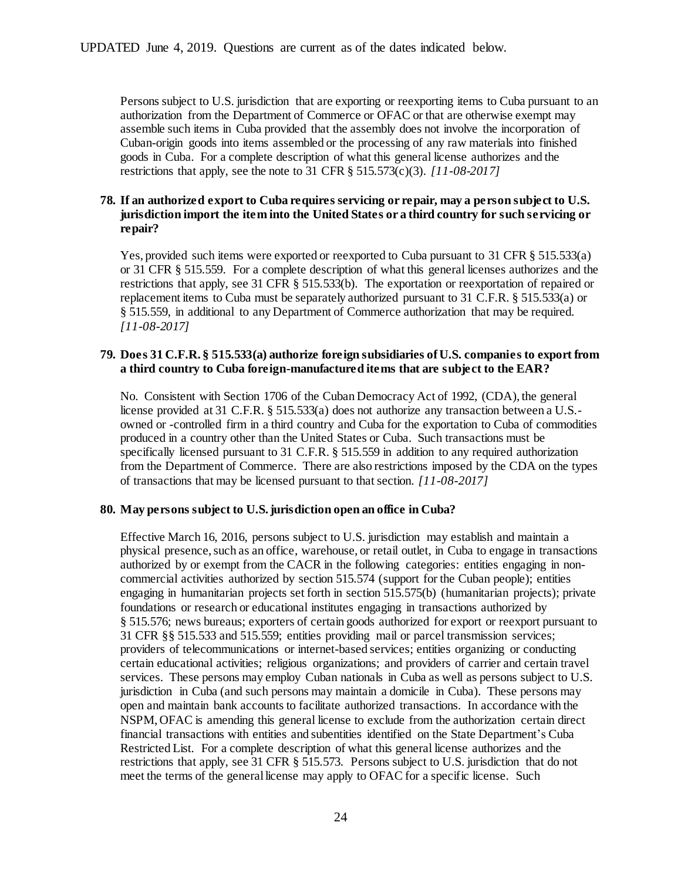Persons subject to U.S. jurisdiction that are exporting or reexporting items to Cuba pursuant to an authorization from the Department of Commerce or OFAC or that are otherwise exempt may assemble such items in Cuba provided that the assembly does not involve the incorporation of Cuban-origin goods into items assembled or the processing of any raw materials into finished goods in Cuba. For a complete description of what this general license authorizes and the restrictions that apply, see the note to 31 CFR § 515.573(c)(3). *[11-08-2017]*

# **78. If an authorized export to Cuba requires servicing or repair, may a person subject to U.S. jurisdiction import the item into the United States or a third country for such servicing or repair?**

Yes, provided such items were exported or reexported to Cuba pursuant to 31 CFR § 515.533(a) or 31 CFR § 515.559. For a complete description of what this general licenses authorizes and the restrictions that apply, see 31 CFR § 515.533(b). The exportation or reexportation of repaired or replacement items to Cuba must be separately authorized pursuant to 31 C.F.R. § 515.533(a) or § 515.559, in additional to any Department of Commerce authorization that may be required. *[11-08-2017]*

# **79. Does 31 C.F.R. § 515.533(a) authorize foreign subsidiaries of U.S. companies to export from a third country to Cuba foreign-manufactured items that are subject to the EAR?**

No. Consistent with Section 1706 of the Cuban Democracy Act of 1992, (CDA), the general license provided at 31 C.F.R. § 515.533(a) does not authorize any transaction between a U.S. owned or -controlled firm in a third country and Cuba for the exportation to Cuba of commodities produced in a country other than the United States or Cuba. Such transactions must be specifically licensed pursuant to 31 C.F.R. § 515.559 in addition to any required authorization from the Department of Commerce. There are also restrictions imposed by the CDA on the types of transactions that may be licensed pursuant to that section. *[11-08-2017]*

## **80. May persons subject to U.S. jurisdiction open an office in Cuba?**

Effective March 16, 2016, persons subject to U.S. jurisdiction may establish and maintain a physical presence, such as an office, warehouse, or retail outlet, in Cuba to engage in transactions authorized by or exempt from the CACR in the following categories: entities engaging in noncommercial activities authorized by section 515.574 (support for the Cuban people); entities engaging in humanitarian projects set forth in section 515.575(b) (humanitarian projects); private foundations or research or educational institutes engaging in transactions authorized by § 515.576; news bureaus; exporters of certain goods authorized for export or reexport pursuant to 31 CFR §§ 515.533 and 515.559; entities providing mail or parcel transmission services; providers of telecommunications or internet-based services; entities organizing or conducting certain educational activities; religious organizations; and providers of carrier and certain travel services. These persons may employ Cuban nationals in Cuba as well as persons subject to U.S. jurisdiction in Cuba (and such persons may maintain a domicile in Cuba). These persons may open and maintain bank accounts to facilitate authorized transactions. In accordance with the NSPM, OFAC is amending this general license to exclude from the authorization certain direct financial transactions with entities and subentities identified on the State Department's Cuba Restricted List. For a complete description of what this general license authorizes and the restrictions that apply, see 31 CFR § 515.573. Persons subject to U.S. jurisdiction that do not meet the terms of the general license may apply to OFAC for a specific license. Such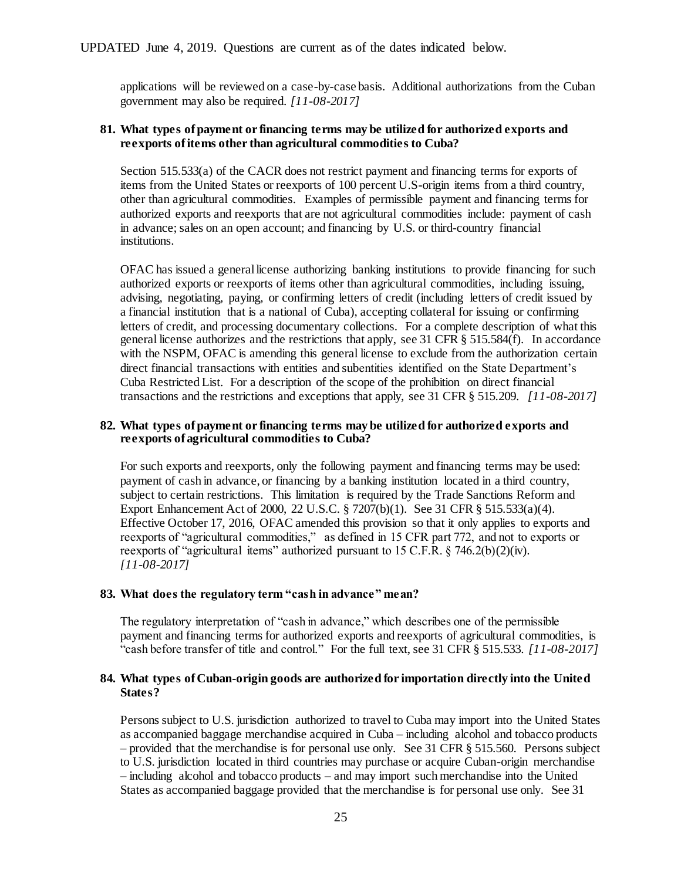applications will be reviewed on a case-by-case basis. Additional authorizations from the Cuban government may also be required. *[11-08-2017]*

#### **81. What types of payment or financing terms may be utilized for authorized exports and reexports of items other than agricultural commodities to Cuba?**

Section 515.533(a) of the CACR does not restrict payment and financing terms for exports of items from the United States or reexports of 100 percent U.S-origin items from a third country, other than agricultural commodities. Examples of permissible payment and financing terms for authorized exports and reexports that are not agricultural commodities include: payment of cash in advance; sales on an open account; and financing by U.S. or third-country financial institutions.

OFAC has issued a general license authorizing banking institutions to provide financing for such authorized exports or reexports of items other than agricultural commodities, including issuing, advising, negotiating, paying, or confirming letters of credit (including letters of credit issued by a financial institution that is a national of Cuba), accepting collateral for issuing or confirming letters of credit, and processing documentary collections. For a complete description of what this general license authorizes and the restrictions that apply, see 31 CFR § 515.584(f). In accordance with the NSPM, OFAC is amending this general license to exclude from the authorization certain direct financial transactions with entities and subentities identified on the State Department's Cuba Restricted List. For a description of the scope of the prohibition on direct financial transactions and the restrictions and exceptions that apply, see 31 CFR § 515.209. *[11-08-2017]*

#### **82. What types of payment or financing terms may be utilized for authorized exports and reexports of agricultural commodities to Cuba?**

For such exports and reexports, only the following payment and financing terms may be used: payment of cash in advance, or financing by a banking institution located in a third country, subject to certain restrictions. This limitation is required by the Trade Sanctions Reform and Export Enhancement Act of 2000, 22 U.S.C. § 7207(b)(1). See 31 CFR § 515.533(a)(4). Effective October 17, 2016, OFAC amended this provision so that it only applies to exports and reexports of "agricultural commodities," as defined in 15 CFR part 772, and not to exports or reexports of "agricultural items" authorized pursuant to 15 C.F.R. § 746.2(b)(2)(iv). *[11-08-2017]*

#### **83. What does the regulatory term "cash in advance" mean?**

The regulatory interpretation of "cash in advance," which describes one of the permissible payment and financing terms for authorized exports and reexports of agricultural commodities, is "cash before transfer of title and control." For the full text, see 31 CFR § 515.533. *[11-08-2017]*

## **84. What types of Cuban-origin goods are authorized for importation directly into the United States?**

Persons subject to U.S. jurisdiction authorized to travel to Cuba may import into the United States as accompanied baggage merchandise acquired in Cuba – including alcohol and tobacco products – provided that the merchandise is for personal use only. See 31 CFR § 515.560. Persons subject to U.S. jurisdiction located in third countries may purchase or acquire Cuban-origin merchandise – including alcohol and tobacco products – and may import such merchandise into the United States as accompanied baggage provided that the merchandise is for personal use only. See 31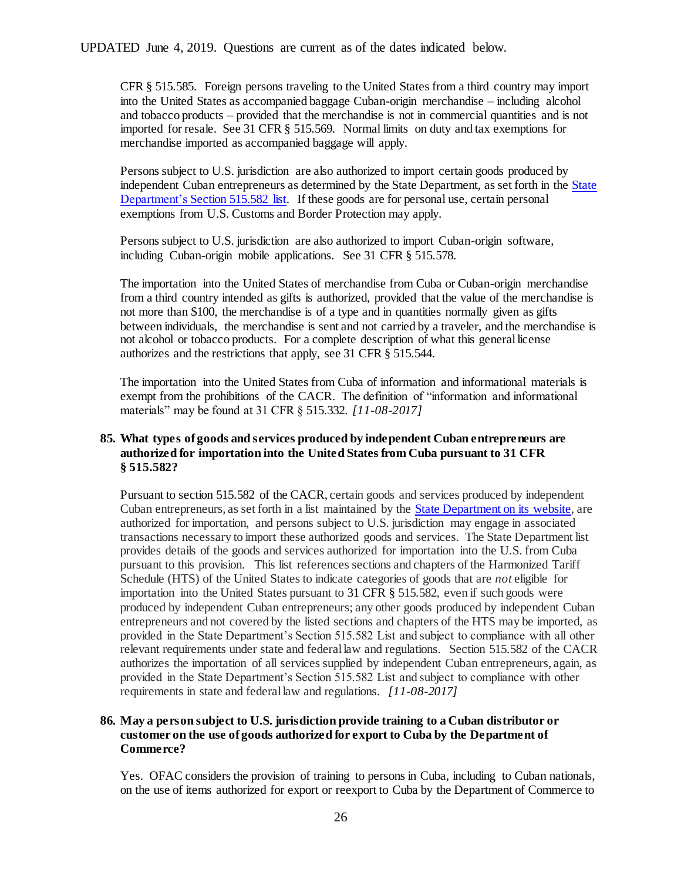CFR § 515.585. Foreign persons traveling to the United States from a third country may import into the United States as accompanied baggage Cuban-origin merchandise – including alcohol and tobacco products – provided that the merchandise is not in commercial quantities and is not imported for resale. See 31 CFR § 515.569. Normal limits on duty and tax exemptions for merchandise imported as accompanied baggage will apply.

Persons subject to U.S. jurisdiction are also authorized to import certain goods produced by independent Cuban entrepreneurs as determined by the State Department, as set forth in th[e State](http://www.state.gov/e/eb/tfs/spi/cuba/515582/237471.htm)  [Department's Section 515.582 list.](http://www.state.gov/e/eb/tfs/spi/cuba/515582/237471.htm) If these goods are for personal use, certain personal exemptions from U.S. Customs and Border Protection may apply.

Persons subject to U.S. jurisdiction are also authorized to import Cuban-origin software, including Cuban-origin mobile applications. See 31 CFR § 515.578.

The importation into the United States of merchandise from Cuba or Cuban-origin merchandise from a third country intended as gifts is authorized, provided that the value of the merchandise is not more than \$100, the merchandise is of a type and in quantities normally given as gifts between individuals, the merchandise is sent and not carried by a traveler, and the merchandise is not alcohol or tobacco products. For a complete description of what this general license authorizes and the restrictions that apply, see 31 CFR § 515.544.

The importation into the United States from Cuba of information and informational materials is exempt from the prohibitions of the CACR. The definition of "information and informational materials" may be found at 31 CFR § 515.332. *[11-08-2017]*

# **85. What types of goods and services produced by independent Cuban entrepreneurs are authorized for importation into the United States from Cuba pursuant to 31 CFR § 515.582?**

Pursuant to section 515.582 of the CACR, certain goods and services produced by independent Cuban entrepreneurs, as set forth in a list maintained by the [State Department on its website,](http://www.state.gov/e/eb/tfs/spi/cuba/515582/237471.htm) are authorized for importation, and persons subject to U.S. jurisdiction may engage in associated transactions necessary to import these authorized goods and services. The State Department list provides details of the goods and services authorized for importation into the U.S. from Cuba pursuant to this provision. This list references sections and chapters of the Harmonized Tariff Schedule (HTS) of the United States to indicate categories of goods that are *not* eligible for importation into the United States pursuant to 31 CFR § 515.582, even if such goods were produced by independent Cuban entrepreneurs; any other goods produced by independent Cuban entrepreneurs and not covered by the listed sections and chapters of the HTS may be imported, as provided in the State Department's Section 515.582 List and subject to compliance with all other relevant requirements under state and federal law and regulations. Section 515.582 of the CACR authorizes the importation of all services supplied by independent Cuban entrepreneurs, again, as provided in the State Department's Section 515.582 List and subject to compliance with other requirements in state and federal law and regulations. *[11-08-2017]*

# **86. May a person subject to U.S. jurisdiction provide training to a Cuban distributor or customer on the use of goods authorized for export to Cuba by the Department of Commerce?**

Yes. OFAC considers the provision of training to persons in Cuba, including to Cuban nationals, on the use of items authorized for export or reexport to Cuba by the Department of Commerce to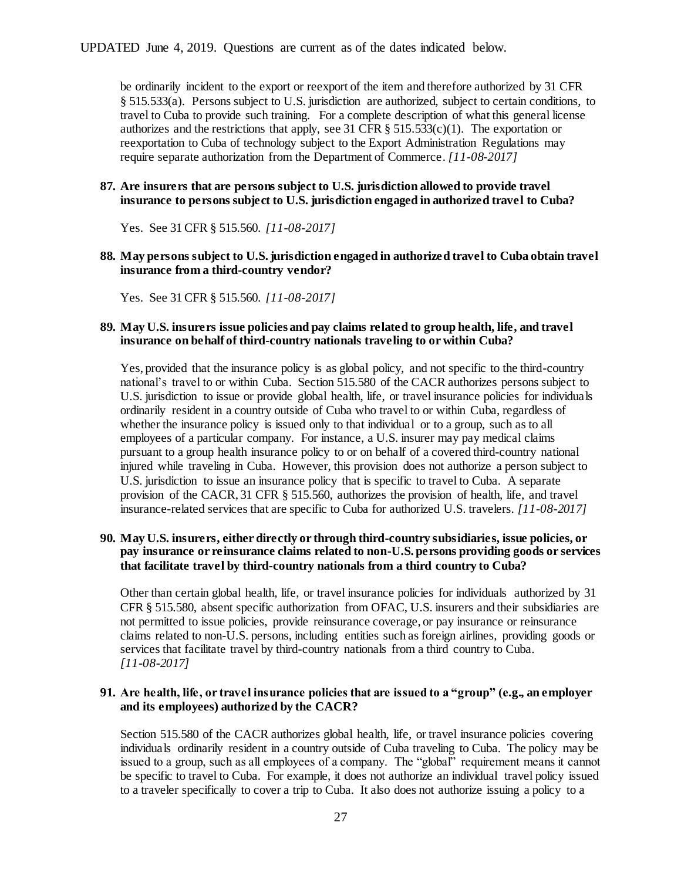be ordinarily incident to the export or reexport of the item and therefore authorized by 31 CFR § 515.533(a). Persons subject to U.S. jurisdiction are authorized, subject to certain conditions, to travel to Cuba to provide such training. For a complete description of what this general license authorizes and the restrictions that apply, see 31 CFR  $\S$  515.533(c)(1). The exportation or reexportation to Cuba of technology subject to the Export Administration Regulations may require separate authorization from the Department of Commerce. *[11-08-2017]*

### **87. Are insurers that are persons subject to U.S. jurisdiction allowed to provide travel insurance to persons subject to U.S. jurisdiction engaged in authorized travel to Cuba?**

Yes. See 31 CFR § 515.560. *[11-08-2017]*

## **88. May persons subject to U.S. jurisdiction engaged in authorized travel to Cuba obtain travel insurance from a third-country vendor?**

Yes. See 31 CFR § 515.560. *[11-08-2017]*

#### **89. May U.S. insurers issue policies and pay claims related to group health, life, and travel insurance on behalf of third-country nationals traveling to or within Cuba?**

Yes, provided that the insurance policy is as global policy, and not specific to the third-country national's travel to or within Cuba. Section 515.580 of the CACR authorizes persons subject to U.S. jurisdiction to issue or provide global health, life, or travel insurance policies for individuals ordinarily resident in a country outside of Cuba who travel to or within Cuba, regardless of whether the insurance policy is issued only to that individual or to a group, such as to all employees of a particular company. For instance, a U.S. insurer may pay medical claims pursuant to a group health insurance policy to or on behalf of a covered third-country national injured while traveling in Cuba. However, this provision does not authorize a person subject to U.S. jurisdiction to issue an insurance policy that is specific to travel to Cuba. A separate provision of the CACR, 31 CFR § 515.560, authorizes the provision of health, life, and travel insurance-related services that are specific to Cuba for authorized U.S. travelers. *[11-08-2017]*

# **90. May U.S. insurers, either directly or through third-country subsidiaries, issue policies, or pay insurance or reinsurance claims related to non-U.S. persons providing goods or services that facilitate travel by third-country nationals from a third country to Cuba?**

Other than certain global health, life, or travel insurance policies for individuals authorized by 31 CFR § 515.580, absent specific authorization from OFAC, U.S. insurers and their subsidiaries are not permitted to issue policies, provide reinsurance coverage, or pay insurance or reinsurance claims related to non-U.S. persons, including entities such as foreign airlines, providing goods or services that facilitate travel by third-country nationals from a third country to Cuba. *[11-08-2017]*

#### **91. Are health, life, or travel insurance policies that are issued to a "group" (e.g., an employer and its employees) authorized by the CACR?**

Section 515.580 of the CACR authorizes global health, life, or travel insurance policies covering individuals ordinarily resident in a country outside of Cuba traveling to Cuba. The policy may be issued to a group, such as all employees of a company. The "global" requirement means it cannot be specific to travel to Cuba. For example, it does not authorize an individual travel policy issued to a traveler specifically to cover a trip to Cuba. It also does not authorize issuing a policy to a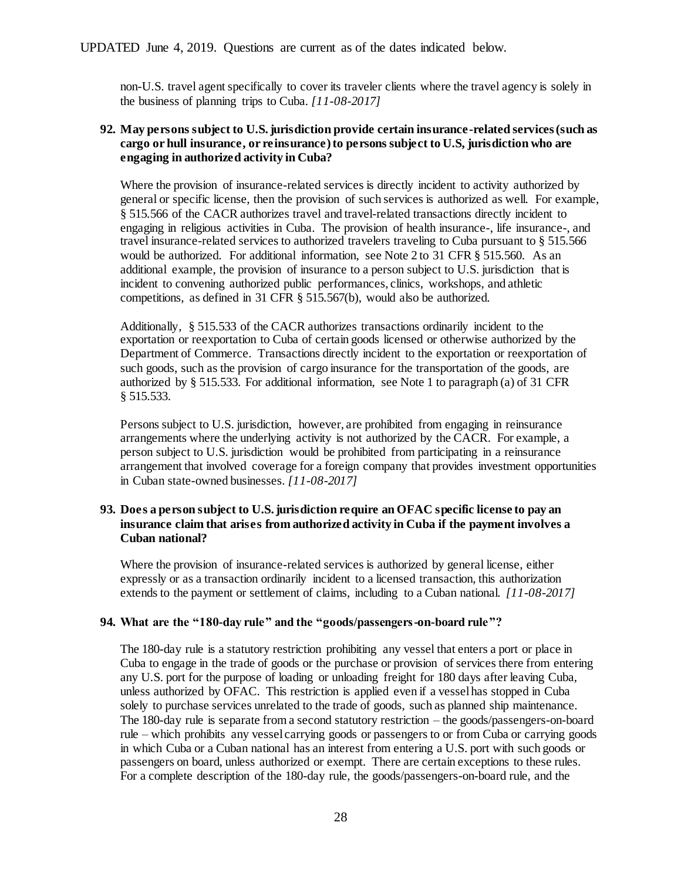non-U.S. travel agent specifically to cover its traveler clients where the travel agency is solely in the business of planning trips to Cuba. *[11-08-2017]*

# **92. May persons subject to U.S. jurisdiction provide certain insurance-related services (such as cargo or hull insurance, or reinsurance) to persons subject to U.S, jurisdiction who are engaging in authorized activity in Cuba?**

Where the provision of insurance-related services is directly incident to activity authorized by general or specific license, then the provision of such services is authorized as well. For example, § 515.566 of the CACR authorizes travel and travel-related transactions directly incident to engaging in religious activities in Cuba. The provision of health insurance-, life insurance-, and travel insurance-related services to authorized travelers traveling to Cuba pursuant to § 515.566 would be authorized. For additional information, see Note 2 to 31 CFR § 515.560. As an additional example, the provision of insurance to a person subject to U.S. jurisdiction that is incident to convening authorized public performances, clinics, workshops, and athletic competitions, as defined in 31 CFR § 515.567(b), would also be authorized.

Additionally, § 515.533 of the CACR authorizes transactions ordinarily incident to the exportation or reexportation to Cuba of certain goods licensed or otherwise authorized by the Department of Commerce. Transactions directly incident to the exportation or reexportation of such goods, such as the provision of cargo insurance for the transportation of the goods, are authorized by § 515.533. For additional information, see Note 1 to paragraph (a) of 31 CFR § 515.533.

Persons subject to U.S. jurisdiction, however, are prohibited from engaging in reinsurance arrangements where the underlying activity is not authorized by the CACR. For example, a person subject to U.S. jurisdiction would be prohibited from participating in a reinsurance arrangement that involved coverage for a foreign company that provides investment opportunities in Cuban state-owned businesses. *[11-08-2017]*

# **93. Does a person subject to U.S. jurisdiction require an OFAC specific license to pay an insurance claim that arises from authorized activity in Cuba if the payment involves a Cuban national?**

Where the provision of insurance-related services is authorized by general license, either expressly or as a transaction ordinarily incident to a licensed transaction, this authorization extends to the payment or settlement of claims, including to a Cuban national. *[11-08-2017]*

## **94. What are the "180-day rule" and the "goods/passengers-on-board rule"?**

The 180-day rule is a statutory restriction prohibiting any vessel that enters a port or place in Cuba to engage in the trade of goods or the purchase or provision of services there from entering any U.S. port for the purpose of loading or unloading freight for 180 days after leaving Cuba, unless authorized by OFAC. This restriction is applied even if a vessel has stopped in Cuba solely to purchase services unrelated to the trade of goods, such as planned ship maintenance. The 180-day rule is separate from a second statutory restriction – the goods/passengers-on-board rule – which prohibits any vessel carrying goods or passengers to or from Cuba or carrying goods in which Cuba or a Cuban national has an interest from entering a U.S. port with such goods or passengers on board, unless authorized or exempt. There are certain exceptions to these rules. For a complete description of the 180-day rule, the goods/passengers-on-board rule, and the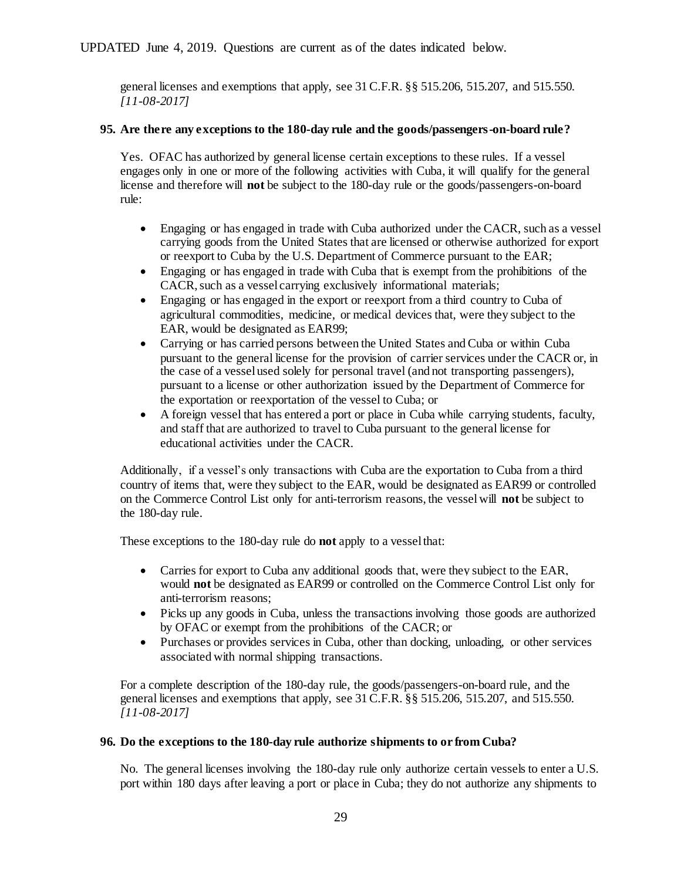general licenses and exemptions that apply, see 31 C.F.R. §§ 515.206, 515.207, and 515.550. *[11-08-2017]*

# **95. Are there any exceptions to the 180-day rule and the goods/passengers-on-board rule?**

Yes. OFAC has authorized by general license certain exceptions to these rules. If a vessel engages only in one or more of the following activities with Cuba, it will qualify for the general license and therefore will **not** be subject to the 180-day rule or the goods/passengers-on-board rule:

- Engaging or has engaged in trade with Cuba authorized under the CACR, such as a vessel carrying goods from the United States that are licensed or otherwise authorized for export or reexport to Cuba by the U.S. Department of Commerce pursuant to the EAR;
- Engaging or has engaged in trade with Cuba that is exempt from the prohibitions of the CACR, such as a vessel carrying exclusively informational materials;
- Engaging or has engaged in the export or reexport from a third country to Cuba of agricultural commodities, medicine, or medical devices that, were they subject to the EAR, would be designated as EAR99;
- Carrying or has carried persons between the United States and Cuba or within Cuba pursuant to the general license for the provision of carrier services under the CACR or, in the case of a vessel used solely for personal travel (and not transporting passengers), pursuant to a license or other authorization issued by the Department of Commerce for the exportation or reexportation of the vessel to Cuba; or
- A foreign vessel that has entered a port or place in Cuba while carrying students, faculty, and staff that are authorized to travel to Cuba pursuant to the general license for educational activities under the CACR.

Additionally, if a vessel's only transactions with Cuba are the exportation to Cuba from a third country of items that, were they subject to the EAR, would be designated as EAR99 or controlled on the Commerce Control List only for anti-terrorism reasons, the vessel will **not** be subject to the 180-day rule.

These exceptions to the 180-day rule do **not** apply to a vessel that:

- Carries for export to Cuba any additional goods that, were they subject to the EAR, would **not** be designated as EAR99 or controlled on the Commerce Control List only for anti-terrorism reasons;
- Picks up any goods in Cuba, unless the transactions involving those goods are authorized by OFAC or exempt from the prohibitions of the CACR; or
- Purchases or provides services in Cuba, other than docking, unloading, or other services associated with normal shipping transactions.

For a complete description of the 180-day rule, the goods/passengers-on-board rule, and the general licenses and exemptions that apply, see 31 C.F.R. §§ 515.206, 515.207, and 515.550. *[11-08-2017]*

# **96. Do the exceptions to the 180-day rule authorize shipments to or from Cuba?**

No. The general licenses involving the 180-day rule only authorize certain vessels to enter a U.S. port within 180 days after leaving a port or place in Cuba; they do not authorize any shipments to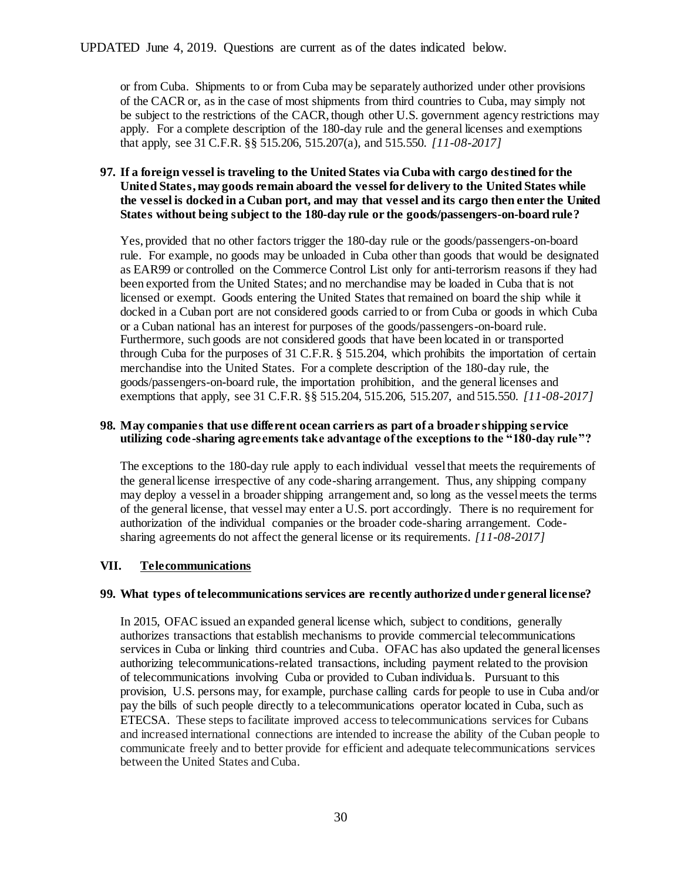or from Cuba. Shipments to or from Cuba may be separately authorized under other provisions of the CACR or, as in the case of most shipments from third countries to Cuba, may simply not be subject to the restrictions of the CACR, though other U.S. government agency restrictions may apply. For a complete description of the 180-day rule and the general licenses and exemptions that apply, see 31 C.F.R. §§ 515.206, 515.207(a), and 515.550. *[11-08-2017]*

# **97. If a foreign vessel is traveling to the United States via Cuba with cargo destined for the United States, may goods remain aboard the vessel for delivery to the United States while the vessel is docked in a Cuban port, and may that vessel and its cargo then enter the United States without being subject to the 180-day rule or the goods/passengers-on-board rule?**

Yes, provided that no other factors trigger the 180-day rule or the goods/passengers-on-board rule. For example, no goods may be unloaded in Cuba other than goods that would be designated as EAR99 or controlled on the Commerce Control List only for anti-terrorism reasons if they had been exported from the United States; and no merchandise may be loaded in Cuba that is not licensed or exempt. Goods entering the United States that remained on board the ship while it docked in a Cuban port are not considered goods carried to or from Cuba or goods in which Cuba or a Cuban national has an interest for purposes of the goods/passengers-on-board rule. Furthermore, such goods are not considered goods that have been located in or transported through Cuba for the purposes of 31 C.F.R. § 515.204, which prohibits the importation of certain merchandise into the United States. For a complete description of the 180-day rule, the goods/passengers-on-board rule, the importation prohibition, and the general licenses and exemptions that apply, see 31 C.F.R. §§ 515.204, 515.206, 515.207, and 515.550. *[11-08-2017]*

### **98. May companies that use different ocean carriers as part of a broader shipping service utilizing code-sharing agreements take advantage of the exceptions to the "180-day rule"?**

The exceptions to the 180-day rule apply to each individual vessel that meets the requirements of the general license irrespective of any code-sharing arrangement. Thus, any shipping company may deploy a vessel in a broader shipping arrangement and, so long as the vessel meets the terms of the general license, that vessel may enter a U.S. port accordingly. There is no requirement for authorization of the individual companies or the broader code-sharing arrangement. Codesharing agreements do not affect the general license or its requirements. *[11-08-2017]*

# <span id="page-29-0"></span>**VII. Telecommunications**

## **99. What types of telecommunications services are recently authorized under general license?**

In 2015, OFAC issued an expanded general license which, subject to conditions, generally authorizes transactions that establish mechanisms to provide commercial telecommunications services in Cuba or linking third countries and Cuba. OFAC has also updated the general licenses authorizing telecommunications-related transactions, including payment related to the provision of telecommunications involving Cuba or provided to Cuban individuals. Pursuant to this provision, U.S. persons may, for example, purchase calling cards for people to use in Cuba and/or pay the bills of such people directly to a telecommunications operator located in Cuba, such as ETECSA. These steps to facilitate improved access to telecommunications services for Cubans and increased international connections are intended to increase the ability of the Cuban people to communicate freely and to better provide for efficient and adequate telecommunications services between the United States and Cuba.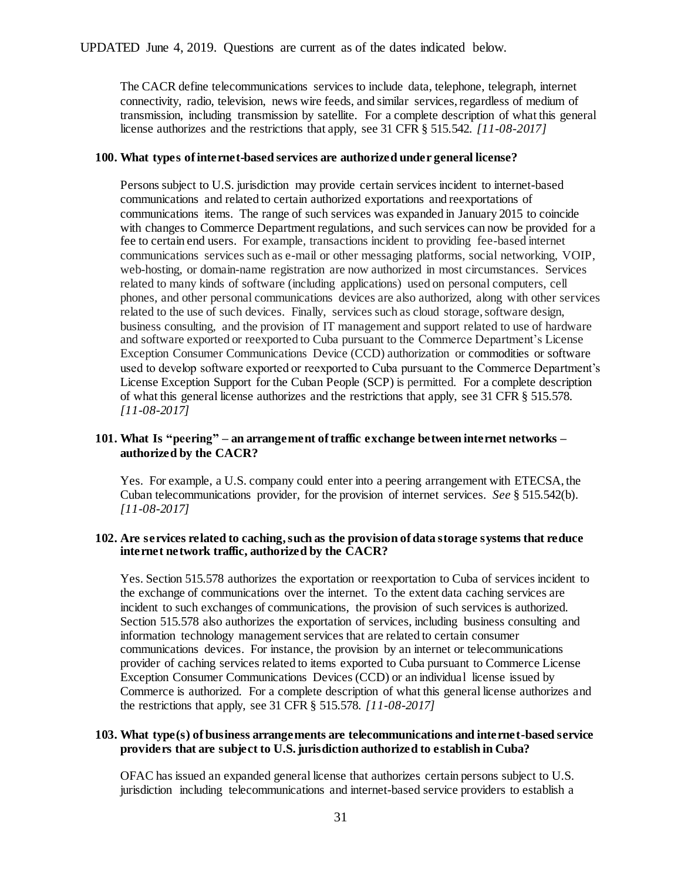The CACR define telecommunications services to include data, telephone, telegraph, internet connectivity, radio, television, news wire feeds, and similar services, regardless of medium of transmission, including transmission by satellite. For a complete description of what this general license authorizes and the restrictions that apply, see 31 CFR § 515.542. *[11-08-2017]*

#### **100. What types of internet-based services are authorized under general license?**

Persons subject to U.S. jurisdiction may provide certain services incident to internet-based communications and related to certain authorized exportations and reexportations of communications items. The range of such services was expanded in January 2015 to coincide with changes to Commerce Department regulations, and such services can now be provided for a fee to certain end users. For example, transactions incident to providing fee-based internet communications services such as e-mail or other messaging platforms, social networking, VOIP, web-hosting, or domain-name registration are now authorized in most circumstances. Services related to many kinds of software (including applications) used on personal computers, cell phones, and other personal communications devices are also authorized, along with other services related to the use of such devices. Finally, services such as cloud storage, software design, business consulting, and the provision of IT management and support related to use of hardware and software exported or reexported to Cuba pursuant to the Commerce Department's License Exception Consumer Communications Device (CCD) authorization or commodities or software used to develop software exported or reexported to Cuba pursuant to the Commerce Department's License Exception Support for the Cuban People (SCP) is permitted. For a complete description of what this general license authorizes and the restrictions that apply, see 31 CFR § 515.578. *[11-08-2017]*

## **101. What Is "peering" – an arrangement of traffic exchange between internet networks – authorized by the CACR?**

Yes. For example, a U.S. company could enter into a peering arrangement with ETECSA, the Cuban telecommunications provider, for the provision of internet services. *See* § 515.542(b). *[11-08-2017]*

### **102. Are services related to caching, such as the provision of data storage systems that reduce internet network traffic, authorized by the CACR?**

Yes. Section 515.578 authorizes the exportation or reexportation to Cuba of services incident to the exchange of communications over the internet. To the extent data caching services are incident to such exchanges of communications, the provision of such services is authorized. Section 515.578 also authorizes the exportation of services, including business consulting and information technology management services that are related to certain consumer communications devices. For instance, the provision by an internet or telecommunications provider of caching services related to items exported to Cuba pursuant to Commerce License Exception Consumer Communications Devices (CCD) or an individual license issued by Commerce is authorized. For a complete description of what this general license authorizes and the restrictions that apply, see 31 CFR § 515.578. *[11-08-2017]*

## **103. What type(s) of business arrangements are telecommunications and internet-based service providers that are subject to U.S. jurisdiction authorized to establish in Cuba?**

OFAC has issued an expanded general license that authorizes certain persons subject to U.S. jurisdiction including telecommunications and internet-based service providers to establish a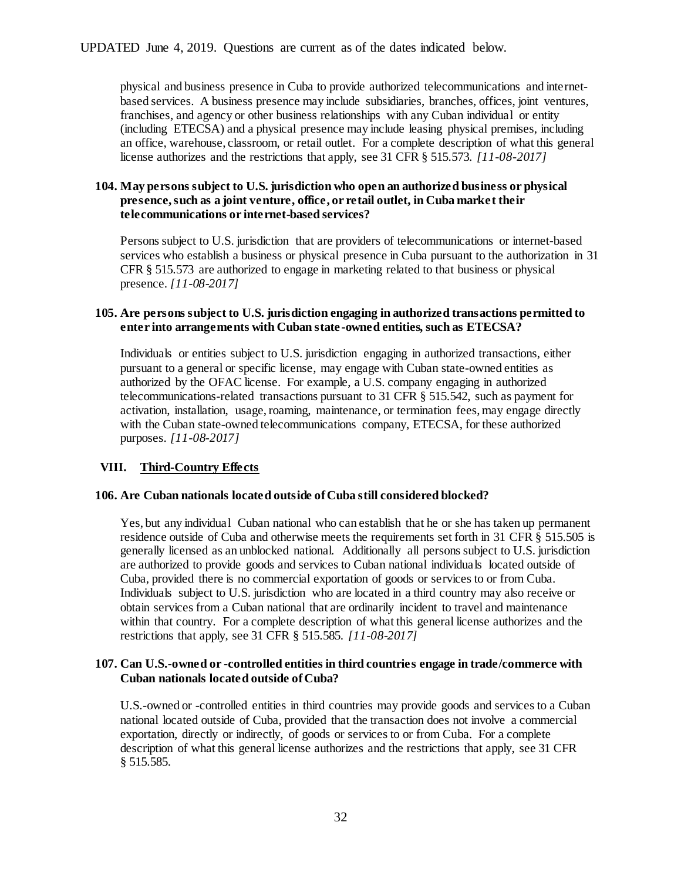physical and business presence in Cuba to provide authorized telecommunications and internetbased services. A business presence may include subsidiaries, branches, offices, joint ventures, franchises, and agency or other business relationships with any Cuban individual or entity (including ETECSA) and a physical presence may include leasing physical premises, including an office, warehouse, classroom, or retail outlet. For a complete description of what this general license authorizes and the restrictions that apply, see 31 CFR § 515.573. *[11-08-2017]*

# **104. May persons subject to U.S. jurisdiction who open an authorized business or physical presence, such as a joint venture, office, or retail outlet, in Cuba market their telecommunications or internet-based services?**

Persons subject to U.S. jurisdiction that are providers of telecommunications or internet-based services who establish a business or physical presence in Cuba pursuant to the authorization in 31 CFR § 515.573 are authorized to engage in marketing related to that business or physical presence. *[11-08-2017]*

## **105. Are persons subject to U.S. jurisdiction engaging in authorized transactions permitted to enter into arrangements with Cuban state -owned entities, such as ETECSA?**

Individuals or entities subject to U.S. jurisdiction engaging in authorized transactions, either pursuant to a general or specific license, may engage with Cuban state-owned entities as authorized by the OFAC license. For example, a U.S. company engaging in authorized telecommunications-related transactions pursuant to 31 CFR § 515.542, such as payment for activation, installation, usage, roaming, maintenance, or termination fees, may engage directly with the Cuban state-owned telecommunications company, ETECSA, for these authorized purposes. *[11-08-2017]*

# <span id="page-31-0"></span>**VIII. Third-Country Effects**

## **106. Are Cuban nationals located outside of Cuba still considered blocked?**

Yes, but any individual Cuban national who can establish that he or she has taken up permanent residence outside of Cuba and otherwise meets the requirements set forth in 31 CFR § 515.505 is generally licensed as an unblocked national. Additionally all persons subject to U.S. jurisdiction are authorized to provide goods and services to Cuban national individuals located outside of Cuba, provided there is no commercial exportation of goods or services to or from Cuba. Individuals subject to U.S. jurisdiction who are located in a third country may also receive or obtain services from a Cuban national that are ordinarily incident to travel and maintenance within that country. For a complete description of what this general license authorizes and the restrictions that apply, see 31 CFR § 515.585. *[11-08-2017]*

#### **107. Can U.S.-owned or -controlled entities in third countries engage in trade/commerce with Cuban nationals located outside of Cuba?**

U.S.-owned or -controlled entities in third countries may provide goods and services to a Cuban national located outside of Cuba, provided that the transaction does not involve a commercial exportation, directly or indirectly, of goods or services to or from Cuba. For a complete description of what this general license authorizes and the restrictions that apply, see 31 CFR § 515.585.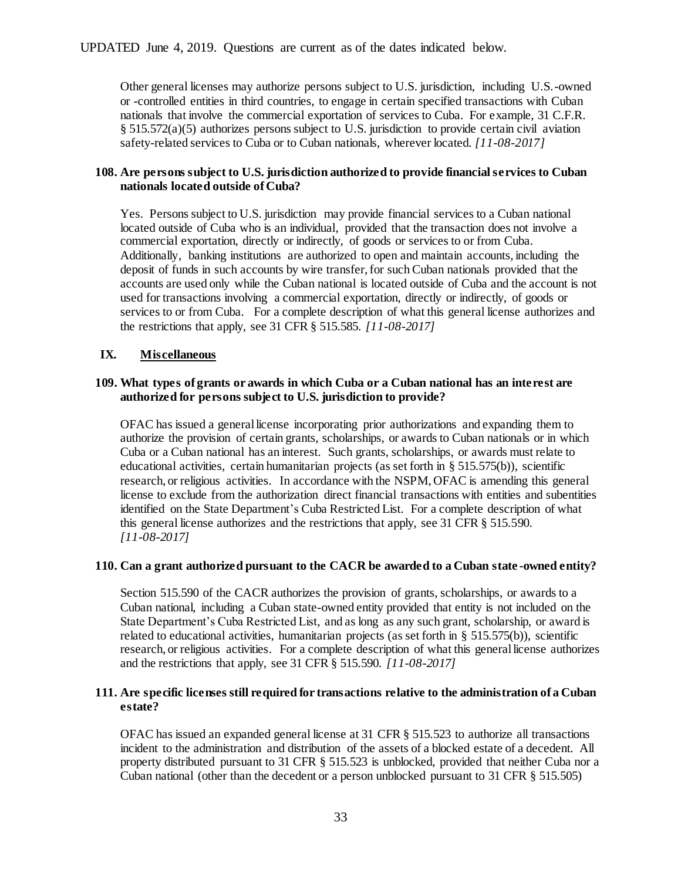Other general licenses may authorize persons subject to U.S. jurisdiction, including U.S.-owned or -controlled entities in third countries, to engage in certain specified transactions with Cuban nationals that involve the commercial exportation of services to Cuba. For example, 31 C.F.R. § 515.572(a)(5) authorizes persons subject to U.S. jurisdiction to provide certain civil aviation safety-related services to Cuba or to Cuban nationals, wherever located. *[11-08-2017]*

# **108. Are persons subject to U.S. jurisdiction authorized to provide financial services to Cuban nationals located outside of Cuba?**

Yes. Persons subject to U.S. jurisdiction may provide financial services to a Cuban national located outside of Cuba who is an individual, provided that the transaction does not involve a commercial exportation, directly or indirectly, of goods or services to or from Cuba. Additionally, banking institutions are authorized to open and maintain accounts, including the deposit of funds in such accounts by wire transfer, for such Cuban nationals provided that the accounts are used only while the Cuban national is located outside of Cuba and the account is not used for transactions involving a commercial exportation, directly or indirectly, of goods or services to or from Cuba. For a complete description of what this general license authorizes and the restrictions that apply, see 31 CFR § 515.585. *[11-08-2017]*

# <span id="page-32-0"></span>**IX. Miscellaneous**

## **109. What types of grants or awards in which Cuba or a Cuban national has an interest are authorized for persons subject to U.S. jurisdiction to provide?**

OFAC has issued a general license incorporating prior authorizations and expanding them to authorize the provision of certain grants, scholarships, or awards to Cuban nationals or in which Cuba or a Cuban national has an interest. Such grants, scholarships, or awards must relate to educational activities, certain humanitarian projects (as set forth in § 515.575(b)), scientific research, or religious activities. In accordance with the NSPM, OFAC is amending this general license to exclude from the authorization direct financial transactions with entities and subentities identified on the State Department's Cuba Restricted List. For a complete description of what this general license authorizes and the restrictions that apply, see 31 CFR § 515.590. *[11-08-2017]*

## **110. Can a grant authorized pursuant to the CACR be awarded to a Cuban state -owned entity?**

Section 515.590 of the CACR authorizes the provision of grants, scholarships, or awards to a Cuban national, including a Cuban state-owned entity provided that entity is not included on the State Department's Cuba Restricted List, and as long as any such grant, scholarship, or award is related to educational activities, humanitarian projects (as set forth in § 515.575(b)), scientific research, or religious activities. For a complete description of what this general license authorizes and the restrictions that apply, see 31 CFR § 515.590. *[11-08-2017]*

## **111. Are specific licenses still required for transactions relative to the administration of a Cuban estate?**

OFAC has issued an expanded general license at 31 CFR § 515.523 to authorize all transactions incident to the administration and distribution of the assets of a blocked estate of a decedent. All property distributed pursuant to 31 CFR § 515.523 is unblocked, provided that neither Cuba nor a Cuban national (other than the decedent or a person unblocked pursuant to 31 CFR § 515.505)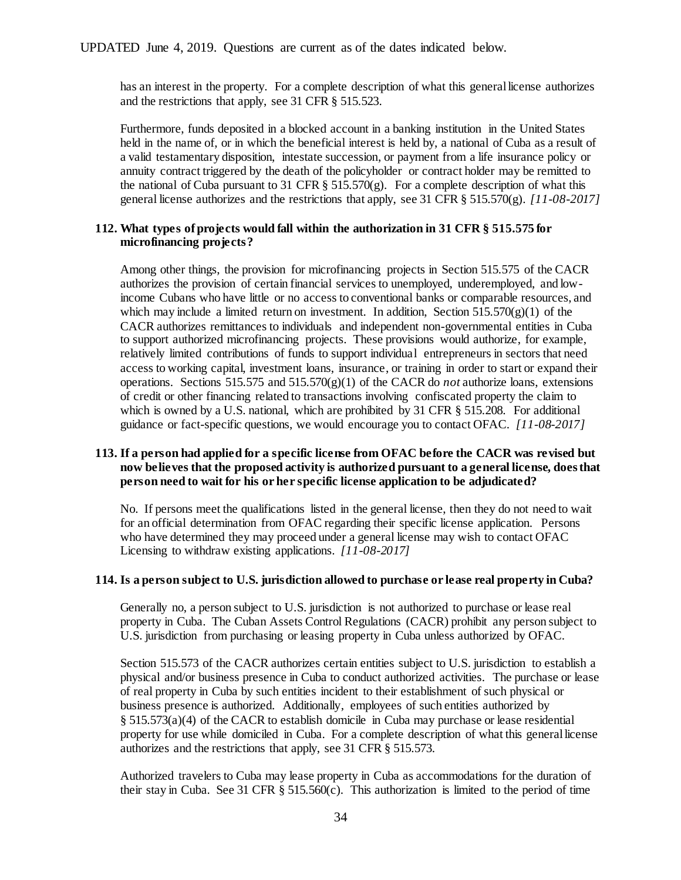has an interest in the property. For a complete description of what this general license authorizes and the restrictions that apply, see 31 CFR § 515.523.

Furthermore, funds deposited in a blocked account in a banking institution in the United States held in the name of, or in which the beneficial interest is held by, a national of Cuba as a result of a valid testamentary disposition, intestate succession, or payment from a life insurance policy or annuity contract triggered by the death of the policyholder or contract holder may be remitted to the national of Cuba pursuant to 31 CFR  $\S$  515.570(g). For a complete description of what this general license authorizes and the restrictions that apply, see 31 CFR § 515.570(g). *[11-08-2017]*

#### **112. What types of projects would fall within the authorization in 31 CFR § 515.575 for microfinancing projects?**

Among other things, the provision for microfinancing projects in Section 515.575 of the CACR authorizes the provision of certain financial services to unemployed, underemployed, and lowincome Cubans who have little or no access to conventional banks or comparable resources, and which may include a limited return on investment. In addition, Section 515.570(g)(1) of the CACR authorizes remittances to individuals and independent non-governmental entities in Cuba to support authorized microfinancing projects. These provisions would authorize, for example, relatively limited contributions of funds to support individual entrepreneurs in sectors that need access to working capital, investment loans, insurance, or training in order to start or expand their operations. Sections 515.575 and 515.570 $(g)(1)$  of the CACR do *not* authorize loans, extensions of credit or other financing related to transactions involving confiscated property the claim to which is owned by a U.S. national, which are prohibited by 31 CFR § 515.208. For additional guidance or fact-specific questions, we would encourage you to contact OFAC. *[11-08-2017]*

# **113. If a person had applied for a specific license from OFAC before the CACR was revised but now believes that the proposed activity is authorized pursuant to a general license, does that person need to wait for his or her specific license application to be adjudicated?**

No. If persons meet the qualifications listed in the general license, then they do not need to wait for an official determination from OFAC regarding their specific license application. Persons who have determined they may proceed under a general license may wish to contact OFAC Licensing to withdraw existing applications. *[11-08-2017]*

### **114. Is a person subject to U.S. jurisdiction allowed to purchase or lease real property in Cuba?**

Generally no, a person subject to U.S. jurisdiction is not authorized to purchase or lease real property in Cuba. The Cuban Assets Control Regulations (CACR) prohibit any person subject to U.S. jurisdiction from purchasing or leasing property in Cuba unless authorized by OFAC.

Section 515.573 of the CACR authorizes certain entities subject to U.S. jurisdiction to establish a physical and/or business presence in Cuba to conduct authorized activities. The purchase or lease of real property in Cuba by such entities incident to their establishment of such physical or business presence is authorized. Additionally, employees of such entities authorized by § 515.573(a)(4) of the CACR to establish domicile in Cuba may purchase or lease residential property for use while domiciled in Cuba. For a complete description of what this general license authorizes and the restrictions that apply, see 31 CFR § 515.573.

Authorized travelers to Cuba may lease property in Cuba as accommodations for the duration of their stay in Cuba. See 31 CFR  $\S$  515.560(c). This authorization is limited to the period of time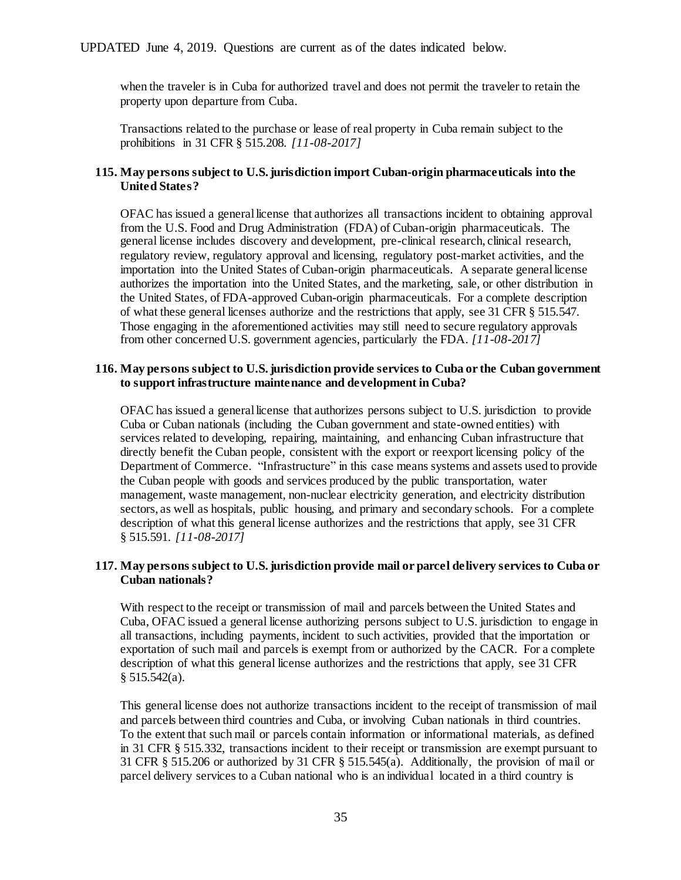when the traveler is in Cuba for authorized travel and does not permit the traveler to retain the property upon departure from Cuba.

Transactions related to the purchase or lease of real property in Cuba remain subject to the prohibitions in 31 CFR § 515.208. *[11-08-2017]*

# **115. May persons subject to U.S. jurisdiction import Cuban-origin pharmaceuticals into the United States?**

OFAC has issued a general license that authorizes all transactions incident to obtaining approval from the U.S. Food and Drug Administration (FDA) of Cuban-origin pharmaceuticals. The general license includes discovery and development, pre-clinical research, clinical research, regulatory review, regulatory approval and licensing, regulatory post-market activities, and the importation into the United States of Cuban-origin pharmaceuticals. A separate general license authorizes the importation into the United States, and the marketing, sale, or other distribution in the United States, of FDA-approved Cuban-origin pharmaceuticals. For a complete description of what these general licenses authorize and the restrictions that apply, see 31 CFR § 515.547. Those engaging in the aforementioned activities may still need to secure regulatory approvals from other concerned U.S. government agencies, particularly the FDA. *[11-08-2017]*

## **116. May persons subject to U.S. jurisdiction provide services to Cuba or the Cuban government to support infrastructure maintenance and development in Cuba?**

OFAC has issued a general license that authorizes persons subject to U.S. jurisdiction to provide Cuba or Cuban nationals (including the Cuban government and state-owned entities) with services related to developing, repairing, maintaining, and enhancing Cuban infrastructure that directly benefit the Cuban people, consistent with the export or reexport licensing policy of the Department of Commerce. "Infrastructure" in this case means systems and assets used to provide the Cuban people with goods and services produced by the public transportation, water management, waste management, non-nuclear electricity generation, and electricity distribution sectors, as well as hospitals, public housing, and primary and secondary schools. For a complete description of what this general license authorizes and the restrictions that apply, see 31 CFR § 515.591. *[11-08-2017]*

# **117. May persons subject to U.S. jurisdiction provide mail or parcel delivery services to Cuba or Cuban nationals?**

With respect to the receipt or transmission of mail and parcels between the United States and Cuba, OFAC issued a general license authorizing persons subject to U.S. jurisdiction to engage in all transactions, including payments, incident to such activities, provided that the importation or exportation of such mail and parcels is exempt from or authorized by the CACR. For a complete description of what this general license authorizes and the restrictions that apply, see 31 CFR  $§ 515.542(a).$ 

This general license does not authorize transactions incident to the receipt of transmission of mail and parcels between third countries and Cuba, or involving Cuban nationals in third countries. To the extent that such mail or parcels contain information or informational materials, as defined in 31 CFR § 515.332, transactions incident to their receipt or transmission are exempt pursuant to 31 CFR § 515.206 or authorized by 31 CFR § 515.545(a). Additionally, the provision of mail or parcel delivery services to a Cuban national who is an individual located in a third country is